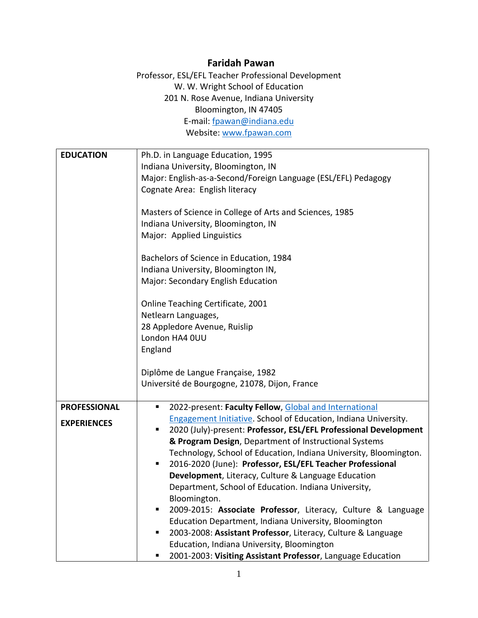## **Faridah Pawan**

Professor, ESL/EFL Teacher Professional Development W. W. Wright School of Education 201 N. Rose Avenue, Indiana University Bloomington, IN 47405 E-mail: [fpawan@indiana.edu](mailto:fpawan@indiana.edu) Website: [www.fpawan.com](http://www.fpawan.com/)

| Ph.D. in Language Education, 1995                                      |
|------------------------------------------------------------------------|
| Indiana University, Bloomington, IN                                    |
| Major: English-as-a-Second/Foreign Language (ESL/EFL) Pedagogy         |
| Cognate Area: English literacy                                         |
|                                                                        |
| Masters of Science in College of Arts and Sciences, 1985               |
| Indiana University, Bloomington, IN                                    |
| Major: Applied Linguistics                                             |
|                                                                        |
| Bachelors of Science in Education, 1984                                |
| Indiana University, Bloomington IN,                                    |
| Major: Secondary English Education                                     |
|                                                                        |
| Online Teaching Certificate, 2001                                      |
| Netlearn Languages,                                                    |
| 28 Appledore Avenue, Ruislip                                           |
| London HA4 0UU                                                         |
| England                                                                |
|                                                                        |
| Diplôme de Langue Française, 1982                                      |
| Université de Bourgogne, 21078, Dijon, France                          |
|                                                                        |
| 2022-present: Faculty Fellow, Global and International<br>п            |
| <b>Engagement Initiative. School of Education, Indiana University.</b> |
| 2020 (July)-present: Professor, ESL/EFL Professional Development<br>п  |
| & Program Design, Department of Instructional Systems                  |
| Technology, School of Education, Indiana University, Bloomington.      |
| 2016-2020 (June): Professor, ESL/EFL Teacher Professional<br>п         |
| Development, Literacy, Culture & Language Education                    |
| Department, School of Education. Indiana University,                   |
| Bloomington.                                                           |
| 2009-2015: Associate Professor, Literacy, Culture & Language           |
| Education Department, Indiana University, Bloomington                  |
| 2003-2008: Assistant Professor, Literacy, Culture & Language<br>٠      |
| Education, Indiana University, Bloomington                             |
| 2001-2003: Visiting Assistant Professor, Language Education            |
|                                                                        |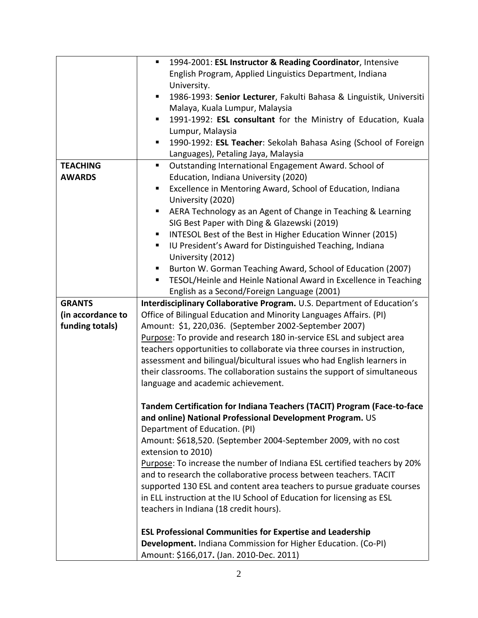|                   | 1994-2001: ESL Instructor & Reading Coordinator, Intensive<br>п          |
|-------------------|--------------------------------------------------------------------------|
|                   | English Program, Applied Linguistics Department, Indiana                 |
|                   | University.                                                              |
|                   | 1986-1993: Senior Lecturer, Fakulti Bahasa & Linguistik, Universiti<br>п |
|                   | Malaya, Kuala Lumpur, Malaysia                                           |
|                   | 1991-1992: ESL consultant for the Ministry of Education, Kuala<br>п      |
|                   | Lumpur, Malaysia                                                         |
|                   | 1990-1992: ESL Teacher: Sekolah Bahasa Asing (School of Foreign<br>п     |
|                   | Languages), Petaling Jaya, Malaysia                                      |
| <b>TEACHING</b>   | Outstanding International Engagement Award. School of<br>ш               |
| <b>AWARDS</b>     | Education, Indiana University (2020)                                     |
|                   | Excellence in Mentoring Award, School of Education, Indiana<br>п         |
|                   | University (2020)                                                        |
|                   | AERA Technology as an Agent of Change in Teaching & Learning<br>п        |
|                   | SIG Best Paper with Ding & Glazewski (2019)                              |
|                   | INTESOL Best of the Best in Higher Education Winner (2015)<br>Ξ          |
|                   | IU President's Award for Distinguished Teaching, Indiana<br>ш            |
|                   | University (2012)                                                        |
|                   | Burton W. Gorman Teaching Award, School of Education (2007)<br>п         |
|                   | TESOL/Heinle and Heinle National Award in Excellence in Teaching         |
|                   | English as a Second/Foreign Language (2001)                              |
| <b>GRANTS</b>     | Interdisciplinary Collaborative Program. U.S. Department of Education's  |
| (in accordance to | Office of Bilingual Education and Minority Languages Affairs. (PI)       |
| funding totals)   | Amount: \$1, 220,036. (September 2002-September 2007)                    |
|                   | Purpose: To provide and research 180 in-service ESL and subject area     |
|                   | teachers opportunities to collaborate via three courses in instruction,  |
|                   | assessment and bilingual/bicultural issues who had English learners in   |
|                   | their classrooms. The collaboration sustains the support of simultaneous |
|                   | language and academic achievement.                                       |
|                   |                                                                          |
|                   | Tandem Certification for Indiana Teachers (TACIT) Program (Face-to-face  |
|                   | and online) National Professional Development Program. US                |
|                   | Department of Education. (PI)                                            |
|                   | Amount: \$618,520. (September 2004-September 2009, with no cost          |
|                   | extension to 2010)                                                       |
|                   | Purpose: To increase the number of Indiana ESL certified teachers by 20% |
|                   | and to research the collaborative process between teachers. TACIT        |
|                   | supported 130 ESL and content area teachers to pursue graduate courses   |
|                   | in ELL instruction at the IU School of Education for licensing as ESL    |
|                   | teachers in Indiana (18 credit hours).                                   |
|                   | <b>ESL Professional Communities for Expertise and Leadership</b>         |
|                   | Development. Indiana Commission for Higher Education. (Co-PI)            |
|                   | Amount: \$166,017. (Jan. 2010-Dec. 2011)                                 |
|                   |                                                                          |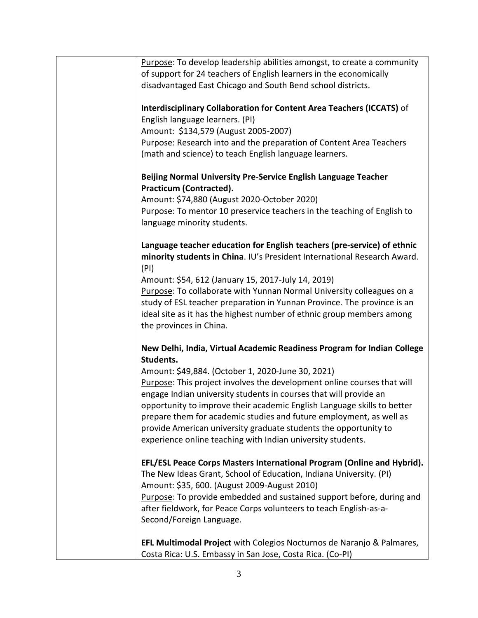| Purpose: To develop leadership abilities amongst, to create a community  |
|--------------------------------------------------------------------------|
| of support for 24 teachers of English learners in the economically       |
| disadvantaged East Chicago and South Bend school districts.              |
|                                                                          |
|                                                                          |
| Interdisciplinary Collaboration for Content Area Teachers (ICCATS) of    |
| English language learners. (PI)                                          |
| Amount: \$134,579 (August 2005-2007)                                     |
| Purpose: Research into and the preparation of Content Area Teachers      |
| (math and science) to teach English language learners.                   |
|                                                                          |
| Beijing Normal University Pre-Service English Language Teacher           |
| <b>Practicum (Contracted).</b>                                           |
|                                                                          |
| Amount: \$74,880 (August 2020-October 2020)                              |
| Purpose: To mentor 10 preservice teachers in the teaching of English to  |
| language minority students.                                              |
|                                                                          |
| Language teacher education for English teachers (pre-service) of ethnic  |
| minority students in China. IU's President International Research Award. |
| (PI)                                                                     |
| Amount: \$54, 612 (January 15, 2017-July 14, 2019)                       |
|                                                                          |
| Purpose: To collaborate with Yunnan Normal University colleagues on a    |
| study of ESL teacher preparation in Yunnan Province. The province is an  |
| ideal site as it has the highest number of ethnic group members among    |
| the provinces in China.                                                  |
|                                                                          |
| New Delhi, India, Virtual Academic Readiness Program for Indian College  |
| Students.                                                                |
| Amount: \$49,884. (October 1, 2020-June 30, 2021)                        |
| Purpose: This project involves the development online courses that will  |
|                                                                          |
| engage Indian university students in courses that will provide an        |
| opportunity to improve their academic English Language skills to better  |
| prepare them for academic studies and future employment, as well as      |
| provide American university graduate students the opportunity to         |
| experience online teaching with Indian university students.              |
|                                                                          |
| EFL/ESL Peace Corps Masters International Program (Online and Hybrid).   |
| The New Ideas Grant, School of Education, Indiana University. (PI)       |
| Amount: \$35, 600. (August 2009-August 2010)                             |
|                                                                          |
| Purpose: To provide embedded and sustained support before, during and    |
| after fieldwork, for Peace Corps volunteers to teach English-as-a-       |
| Second/Foreign Language.                                                 |
|                                                                          |
| EFL Multimodal Project with Colegios Nocturnos de Naranjo & Palmares,    |
| Costa Rica: U.S. Embassy in San Jose, Costa Rica. (Co-PI)                |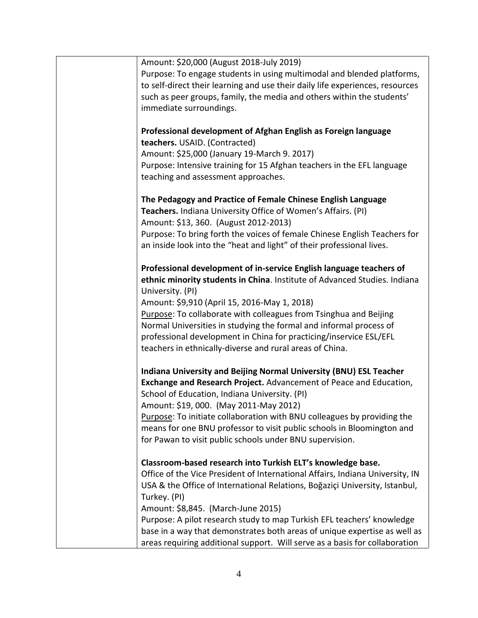| Amount: \$20,000 (August 2018-July 2019)                                      |
|-------------------------------------------------------------------------------|
| Purpose: To engage students in using multimodal and blended platforms,        |
| to self-direct their learning and use their daily life experiences, resources |
| such as peer groups, family, the media and others within the students'        |
| immediate surroundings.                                                       |
|                                                                               |
|                                                                               |
| Professional development of Afghan English as Foreign language                |
| teachers. USAID. (Contracted)                                                 |
| Amount: \$25,000 (January 19-March 9. 2017)                                   |
| Purpose: Intensive training for 15 Afghan teachers in the EFL language        |
| teaching and assessment approaches.                                           |
|                                                                               |
| The Pedagogy and Practice of Female Chinese English Language                  |
| Teachers. Indiana University Office of Women's Affairs. (PI)                  |
| Amount: \$13, 360. (August 2012-2013)                                         |
| Purpose: To bring forth the voices of female Chinese English Teachers for     |
| an inside look into the "heat and light" of their professional lives.         |
|                                                                               |
| Professional development of in-service English language teachers of           |
|                                                                               |
| ethnic minority students in China. Institute of Advanced Studies. Indiana     |
| University. (PI)                                                              |
| Amount: \$9,910 (April 15, 2016-May 1, 2018)                                  |
| Purpose: To collaborate with colleagues from Tsinghua and Beijing             |
| Normal Universities in studying the formal and informal process of            |
| professional development in China for practicing/inservice ESL/EFL            |
| teachers in ethnically-diverse and rural areas of China.                      |
|                                                                               |
| Indiana University and Beijing Normal University (BNU) ESL Teacher            |
| Exchange and Research Project. Advancement of Peace and Education,            |
| School of Education, Indiana University. (PI)                                 |
| Amount: \$19, 000. (May 2011-May 2012)                                        |
|                                                                               |
| Purpose: To initiate collaboration with BNU colleagues by providing the       |
| means for one BNU professor to visit public schools in Bloomington and        |
| for Pawan to visit public schools under BNU supervision.                      |
|                                                                               |
| Classroom-based research into Turkish ELT's knowledge base.                   |
| Office of the Vice President of International Affairs, Indiana University, IN |
| USA & the Office of International Relations, Boğaziçi University, Istanbul,   |
| Turkey. (PI)                                                                  |
| Amount: \$8,845. (March-June 2015)                                            |
| Purpose: A pilot research study to map Turkish EFL teachers' knowledge        |
| base in a way that demonstrates both areas of unique expertise as well as     |
| areas requiring additional support. Will serve as a basis for collaboration   |
|                                                                               |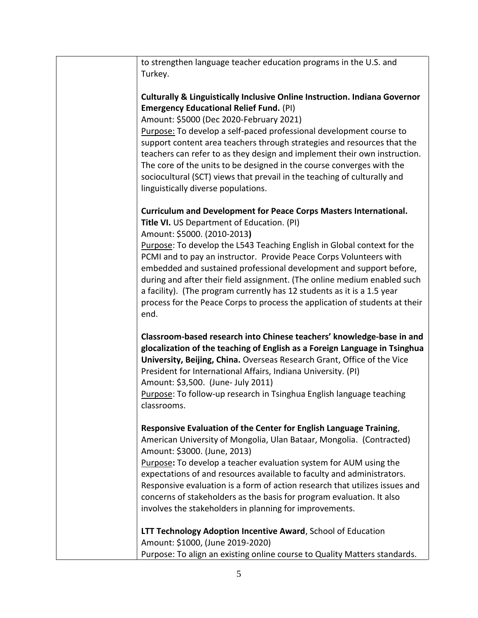| to strengthen language teacher education programs in the U.S. and                                                                           |
|---------------------------------------------------------------------------------------------------------------------------------------------|
| Turkey.                                                                                                                                     |
|                                                                                                                                             |
| <b>Culturally &amp; Linguistically Inclusive Online Instruction. Indiana Governor</b>                                                       |
| <b>Emergency Educational Relief Fund. (PI)</b>                                                                                              |
| Amount: \$5000 (Dec 2020-February 2021)                                                                                                     |
| Purpose: To develop a self-paced professional development course to                                                                         |
| support content area teachers through strategies and resources that the                                                                     |
| teachers can refer to as they design and implement their own instruction.                                                                   |
| The core of the units to be designed in the course converges with the                                                                       |
| sociocultural (SCT) views that prevail in the teaching of culturally and                                                                    |
| linguistically diverse populations.                                                                                                         |
| <b>Curriculum and Development for Peace Corps Masters International.</b>                                                                    |
| Title VI. US Department of Education. (PI)                                                                                                  |
| Amount: \$5000. (2010-2013)                                                                                                                 |
| Purpose: To develop the L543 Teaching English in Global context for the                                                                     |
| PCMI and to pay an instructor. Provide Peace Corps Volunteers with                                                                          |
| embedded and sustained professional development and support before,                                                                         |
| during and after their field assignment. (The online medium enabled such                                                                    |
| a facility). (The program currently has 12 students as it is a 1.5 year                                                                     |
| process for the Peace Corps to process the application of students at their                                                                 |
| end.                                                                                                                                        |
|                                                                                                                                             |
| Classroom-based research into Chinese teachers' knowledge-base in and                                                                       |
| glocalization of the teaching of English as a Foreign Language in Tsinghua                                                                  |
| University, Beijing, China. Overseas Research Grant, Office of the Vice                                                                     |
| President for International Affairs, Indiana University. (PI)                                                                               |
| Amount: \$3,500. (June- July 2011)                                                                                                          |
| Purpose: To follow-up research in Tsinghua English language teaching                                                                        |
| classrooms.                                                                                                                                 |
|                                                                                                                                             |
| Responsive Evaluation of the Center for English Language Training,<br>American University of Mongolia, Ulan Bataar, Mongolia. (Contracted)  |
| Amount: \$3000. (June, 2013)                                                                                                                |
|                                                                                                                                             |
| Purpose: To develop a teacher evaluation system for AUM using the<br>expectations of and resources available to faculty and administrators. |
| Responsive evaluation is a form of action research that utilizes issues and                                                                 |
| concerns of stakeholders as the basis for program evaluation. It also                                                                       |
| involves the stakeholders in planning for improvements.                                                                                     |
|                                                                                                                                             |
| LTT Technology Adoption Incentive Award, School of Education                                                                                |
| Amount: \$1000, (June 2019-2020)                                                                                                            |
| Purpose: To align an existing online course to Quality Matters standards.                                                                   |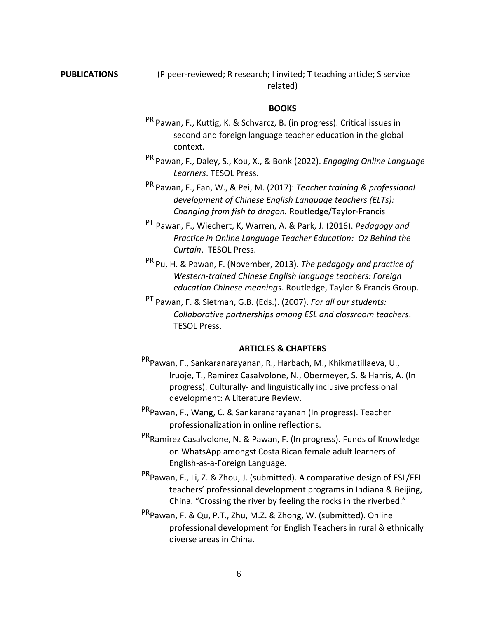| <b>PUBLICATIONS</b> | (P peer-reviewed; R research; I invited; T teaching article; S service<br>related)                                                                                                                                                                              |
|---------------------|-----------------------------------------------------------------------------------------------------------------------------------------------------------------------------------------------------------------------------------------------------------------|
|                     | <b>BOOKS</b>                                                                                                                                                                                                                                                    |
|                     | <sup>PR</sup> Pawan, F., Kuttig, K. & Schvarcz, B. (in progress). Critical issues in<br>second and foreign language teacher education in the global<br>context.                                                                                                 |
|                     | <sup>PR</sup> Pawan, F., Daley, S., Kou, X., & Bonk (2022). Engaging Online Language<br>Learners. TESOL Press.                                                                                                                                                  |
|                     | <sup>PR</sup> Pawan, F., Fan, W., & Pei, M. (2017): Teacher training & professional<br>development of Chinese English Language teachers (ELTs):<br>Changing from fish to dragon. Routledge/Taylor-Francis                                                       |
|                     | <sup>PT</sup> Pawan, F., Wiechert, K, Warren, A. & Park, J. (2016). Pedagogy and<br>Practice in Online Language Teacher Education: Oz Behind the<br>Curtain. TESOL Press.                                                                                       |
|                     | <sup>PR</sup> Pu, H. & Pawan, F. (November, 2013). The pedagogy and practice of<br>Western-trained Chinese English language teachers: Foreign<br>education Chinese meanings. Routledge, Taylor & Francis Group.                                                 |
|                     | <sup>PT</sup> Pawan, F. & Sietman, G.B. (Eds.). (2007). For all our students:<br>Collaborative partnerships among ESL and classroom teachers.<br><b>TESOL Press.</b>                                                                                            |
|                     | <b>ARTICLES &amp; CHAPTERS</b>                                                                                                                                                                                                                                  |
|                     | <sup>PR</sup> Pawan, F., Sankaranarayanan, R., Harbach, M., Khikmatillaeva, U.,<br>Iruoje, T., Ramirez Casalvolone, N., Obermeyer, S. & Harris, A. (In<br>progress). Culturally- and linguistically inclusive professional<br>development: A Literature Review. |
|                     | <sup>PR</sup> Pawan, F., Wang, C. & Sankaranarayanan (In progress). Teacher<br>professionalization in online reflections.                                                                                                                                       |
|                     | <sup>PR</sup> Ramirez Casalvolone, N. & Pawan, F. (In progress). Funds of Knowledge<br>on WhatsApp amongst Costa Rican female adult learners of<br>English-as-a-Foreign Language.                                                                               |
|                     | <sup>PR</sup> Pawan, F., Li, Z. & Zhou, J. (submitted). A comparative design of ESL/EFL<br>teachers' professional development programs in Indiana & Beijing,<br>China. "Crossing the river by feeling the rocks in the riverbed."                               |
|                     | <sup>PR</sup> Pawan, F. & Qu, P.T., Zhu, M.Z. & Zhong, W. (submitted). Online<br>professional development for English Teachers in rural & ethnically<br>diverse areas in China.                                                                                 |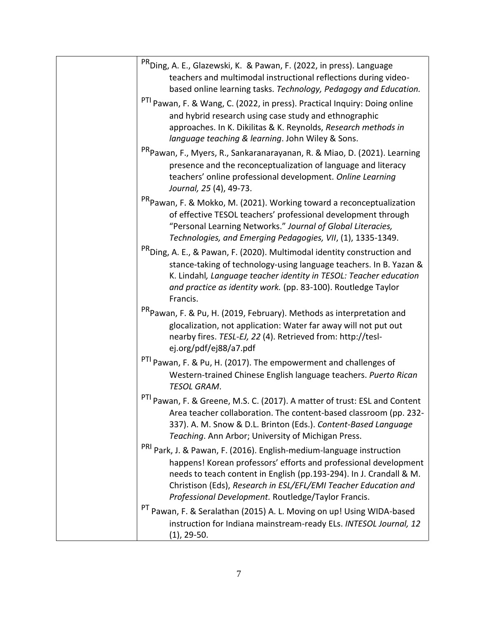| <sup>PR</sup> Ding, A. E., Glazewski, K. & Pawan, F. (2022, in press). Language<br>teachers and multimodal instructional reflections during video-<br>based online learning tasks. Technology, Pedagogy and Education.<br>PTI Pawan, F. & Wang, C. (2022, in press). Practical Inquiry: Doing online<br>and hybrid research using case study and ethnographic<br>approaches. In K. Dikilitas & K. Reynolds, Research methods in<br>language teaching & learning. John Wiley & Sons. |
|-------------------------------------------------------------------------------------------------------------------------------------------------------------------------------------------------------------------------------------------------------------------------------------------------------------------------------------------------------------------------------------------------------------------------------------------------------------------------------------|
| <sup>PR</sup> Pawan, F., Myers, R., Sankaranarayanan, R. & Miao, D. (2021). Learning<br>presence and the reconceptualization of language and literacy<br>teachers' online professional development. Online Learning<br>Journal, 25 (4), 49-73.                                                                                                                                                                                                                                      |
| <sup>PR</sup> Pawan, F. & Mokko, M. (2021). Working toward a reconceptualization<br>of effective TESOL teachers' professional development through<br>"Personal Learning Networks." Journal of Global Literacies,<br>Technologies, and Emerging Pedagogies, VII, (1), 1335-1349.                                                                                                                                                                                                     |
| <sup>PR</sup> Ding, A. E., & Pawan, F. (2020). Multimodal identity construction and<br>stance-taking of technology-using language teachers. In B. Yazan &<br>K. Lindahl, Language teacher identity in TESOL: Teacher education<br>and practice as identity work. (pp. 83-100). Routledge Taylor<br>Francis.                                                                                                                                                                         |
| <sup>PR</sup> Pawan, F. & Pu, H. (2019, February). Methods as interpretation and<br>glocalization, not application: Water far away will not put out<br>nearby fires. TESL-EJ, 22 (4). Retrieved from: http://tesl-<br>ej.org/pdf/ej88/a7.pdf                                                                                                                                                                                                                                        |
| PTI Pawan, F. & Pu, H. (2017). The empowerment and challenges of<br>Western-trained Chinese English language teachers. Puerto Rican<br>TESOL GRAM.                                                                                                                                                                                                                                                                                                                                  |
| PTI Pawan, F. & Greene, M.S. C. (2017). A matter of trust: ESL and Content<br>Area teacher collaboration. The content-based classroom (pp. 232-<br>337). A. M. Snow & D.L. Brinton (Eds.). Content-Based Language<br>Teaching. Ann Arbor; University of Michigan Press.                                                                                                                                                                                                             |
| <sup>PRI</sup> Park, J. & Pawan, F. (2016). English-medium-language instruction<br>happens! Korean professors' efforts and professional development<br>needs to teach content in English (pp.193-294). In J. Crandall & M.<br>Christison (Eds), Research in ESL/EFL/EMI Teacher Education and<br>Professional Development. Routledge/Taylor Francis.                                                                                                                                |
| <sup>PT</sup> Pawan, F. & Seralathan (2015) A. L. Moving on up! Using WIDA-based<br>instruction for Indiana mainstream-ready ELs. INTESOL Journal, 12<br>$(1)$ , 29-50.                                                                                                                                                                                                                                                                                                             |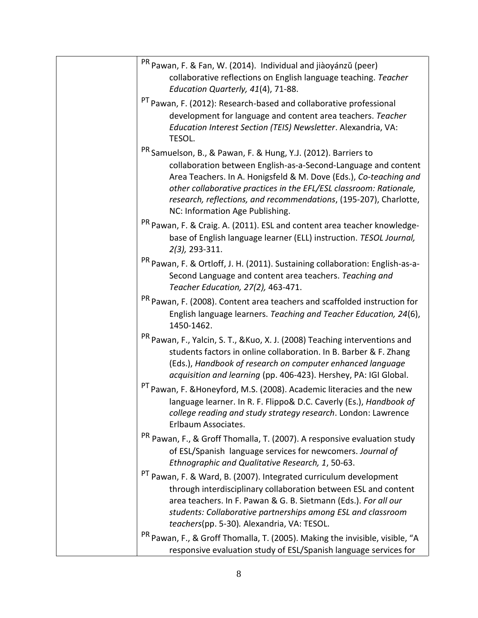| <sup>PR</sup> Pawan, F. & Fan, W. (2014). Individual and jiàoyánzǔ (peer)<br>collaborative reflections on English language teaching. Teacher<br>Education Quarterly, 41(4), 71-88.                                                                                                                                                                                                             |
|------------------------------------------------------------------------------------------------------------------------------------------------------------------------------------------------------------------------------------------------------------------------------------------------------------------------------------------------------------------------------------------------|
| <sup>PT</sup> Pawan, F. (2012): Research-based and collaborative professional<br>development for language and content area teachers. Teacher<br>Education Interest Section (TEIS) Newsletter. Alexandria, VA:<br>TESOL.                                                                                                                                                                        |
| <sup>PR</sup> Samuelson, B., & Pawan, F. & Hung, Y.J. (2012). Barriers to<br>collaboration between English-as-a-Second-Language and content<br>Area Teachers. In A. Honigsfeld & M. Dove (Eds.), Co-teaching and<br>other collaborative practices in the EFL/ESL classroom: Rationale,<br>research, reflections, and recommendations, (195-207), Charlotte,<br>NC: Information Age Publishing. |
| <sup>PR</sup> Pawan, F. & Craig. A. (2011). ESL and content area teacher knowledge-<br>base of English language learner (ELL) instruction. TESOL Journal,<br>2(3), 293-311.                                                                                                                                                                                                                    |
| <sup>PR</sup> Pawan, F. & Ortloff, J. H. (2011). Sustaining collaboration: English-as-a-<br>Second Language and content area teachers. Teaching and<br>Teacher Education, 27(2), 463-471.                                                                                                                                                                                                      |
| <sup>PR</sup> Pawan, F. (2008). Content area teachers and scaffolded instruction for<br>English language learners. Teaching and Teacher Education, 24(6),<br>1450-1462.                                                                                                                                                                                                                        |
| <sup>PR</sup> Pawan, F., Yalcin, S. T., &Kuo, X. J. (2008) Teaching interventions and<br>students factors in online collaboration. In B. Barber & F. Zhang<br>(Eds.), Handbook of research on computer enhanced language<br>acquisition and learning (pp. 406-423). Hershey, PA: IGI Global.                                                                                                   |
| <sup>PT</sup> Pawan, F. & Honeyford, M.S. (2008). Academic literacies and the new<br>language learner. In R. F. Flippo& D.C. Caverly (Es.), Handbook of<br>college reading and study strategy research. London: Lawrence<br>Erlbaum Associates.                                                                                                                                                |
| <sup>PR</sup> Pawan, F., & Groff Thomalla, T. (2007). A responsive evaluation study<br>of ESL/Spanish language services for newcomers. Journal of<br>Ethnographic and Qualitative Research, 1, 50-63.                                                                                                                                                                                          |
| <sup>PT</sup> Pawan, F. & Ward, B. (2007). Integrated curriculum development<br>through interdisciplinary collaboration between ESL and content<br>area teachers. In F. Pawan & G. B. Sietmann (Eds.). For all our<br>students: Collaborative partnerships among ESL and classroom<br>teachers(pp. 5-30). Alexandria, VA: TESOL.                                                               |
| <sup>PR</sup> Pawan, F., & Groff Thomalla, T. (2005). Making the invisible, visible, "A<br>responsive evaluation study of ESL/Spanish language services for                                                                                                                                                                                                                                    |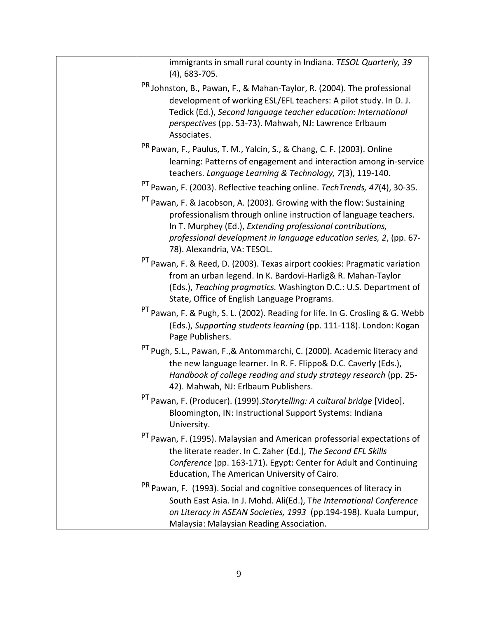| immigrants in small rural county in Indiana. TESOL Quarterly, 39<br>$(4)$ , 683-705.                                                                                                                                                                                                                                    |
|-------------------------------------------------------------------------------------------------------------------------------------------------------------------------------------------------------------------------------------------------------------------------------------------------------------------------|
| <sup>PR</sup> Johnston, B., Pawan, F., & Mahan-Taylor, R. (2004). The professional<br>development of working ESL/EFL teachers: A pilot study. In D. J.<br>Tedick (Ed.), Second language teacher education: International<br>perspectives (pp. 53-73). Mahwah, NJ: Lawrence Erlbaum<br>Associates.                       |
| <sup>PR</sup> Pawan, F., Paulus, T. M., Yalcin, S., & Chang, C. F. (2003). Online<br>learning: Patterns of engagement and interaction among in-service<br>teachers. Language Learning & Technology, 7(3), 119-140.                                                                                                      |
| <sup>PT</sup> Pawan, F. (2003). Reflective teaching online. TechTrends, 47(4), 30-35.                                                                                                                                                                                                                                   |
| <sup>PT</sup> Pawan, F. & Jacobson, A. (2003). Growing with the flow: Sustaining<br>professionalism through online instruction of language teachers.<br>In T. Murphey (Ed.), Extending professional contributions,<br>professional development in language education series, 2, (pp. 67-<br>78). Alexandria, VA: TESOL. |
| <sup>PT</sup> Pawan, F. & Reed, D. (2003). Texas airport cookies: Pragmatic variation<br>from an urban legend. In K. Bardovi-Harlig& R. Mahan-Taylor<br>(Eds.), Teaching pragmatics. Washington D.C.: U.S. Department of<br>State, Office of English Language Programs.                                                 |
| <sup>PT</sup> Pawan, F. & Pugh, S. L. (2002). Reading for life. In G. Crosling & G. Webb<br>(Eds.), Supporting students learning (pp. 111-118). London: Kogan<br>Page Publishers.                                                                                                                                       |
| <sup>PT</sup> Pugh, S.L., Pawan, F.,& Antommarchi, C. (2000). Academic literacy and<br>the new language learner. In R. F. Flippo& D.C. Caverly (Eds.),<br>Handbook of college reading and study strategy research (pp. 25-<br>42). Mahwah, NJ: Erlbaum Publishers.                                                      |
| <sup>PT</sup> Pawan, F. (Producer). (1999).Storytelling: A cultural bridge [Video].<br>Bloomington, IN: Instructional Support Systems: Indiana<br>University.                                                                                                                                                           |
| <sup>PT</sup> Pawan, F. (1995). Malaysian and American professorial expectations of<br>the literate reader. In C. Zaher (Ed.), The Second EFL Skills<br>Conference (pp. 163-171). Egypt: Center for Adult and Continuing<br>Education, The American University of Cairo.                                                |
| <sup>PR</sup> Pawan, F. (1993). Social and cognitive consequences of literacy in                                                                                                                                                                                                                                        |
| South East Asia. In J. Mohd. Ali(Ed.), The International Conference<br>on Literacy in ASEAN Societies, 1993 (pp.194-198). Kuala Lumpur,<br>Malaysia: Malaysian Reading Association.                                                                                                                                     |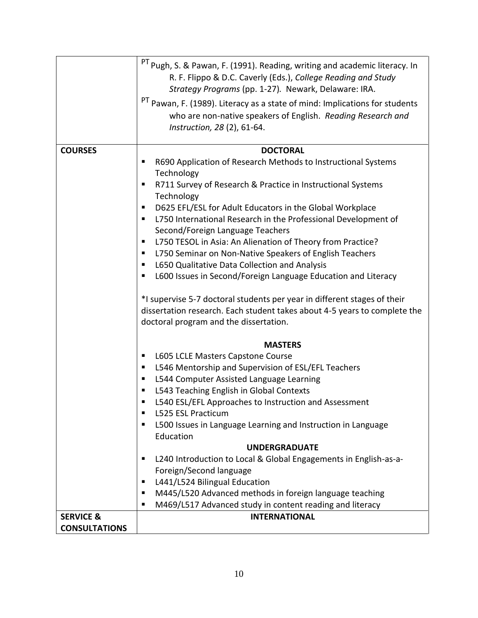|                      | <sup>PT</sup> Pugh, S. & Pawan, F. (1991). Reading, writing and academic literacy. In<br>R. F. Flippo & D.C. Caverly (Eds.), College Reading and Study<br>Strategy Programs (pp. 1-27). Newark, Delaware: IRA.<br><sup>PT</sup> Pawan, F. (1989). Literacy as a state of mind: Implications for students<br>who are non-native speakers of English. Reading Research and<br>Instruction, 28 (2), 61-64.                                                                                                                                                                                                                                                                                                                                                                                                                             |
|----------------------|-------------------------------------------------------------------------------------------------------------------------------------------------------------------------------------------------------------------------------------------------------------------------------------------------------------------------------------------------------------------------------------------------------------------------------------------------------------------------------------------------------------------------------------------------------------------------------------------------------------------------------------------------------------------------------------------------------------------------------------------------------------------------------------------------------------------------------------|
|                      |                                                                                                                                                                                                                                                                                                                                                                                                                                                                                                                                                                                                                                                                                                                                                                                                                                     |
| <b>COURSES</b>       | <b>DOCTORAL</b><br>R690 Application of Research Methods to Instructional Systems<br>п<br>Technology<br>R711 Survey of Research & Practice in Instructional Systems<br>п<br>Technology<br>D625 EFL/ESL for Adult Educators in the Global Workplace<br>٠<br>L750 International Research in the Professional Development of<br>п<br>Second/Foreign Language Teachers<br>L750 TESOL in Asia: An Alienation of Theory from Practice?<br>п<br>L750 Seminar on Non-Native Speakers of English Teachers<br>ш<br>L650 Qualitative Data Collection and Analysis<br>ш<br>L600 Issues in Second/Foreign Language Education and Literacy<br>п<br>*I supervise 5-7 doctoral students per year in different stages of their<br>dissertation research. Each student takes about 4-5 years to complete the<br>doctoral program and the dissertation. |
|                      | <b>MASTERS</b>                                                                                                                                                                                                                                                                                                                                                                                                                                                                                                                                                                                                                                                                                                                                                                                                                      |
|                      | L605 LCLE Masters Capstone Course<br>п                                                                                                                                                                                                                                                                                                                                                                                                                                                                                                                                                                                                                                                                                                                                                                                              |
|                      | L546 Mentorship and Supervision of ESL/EFL Teachers<br>ш                                                                                                                                                                                                                                                                                                                                                                                                                                                                                                                                                                                                                                                                                                                                                                            |
|                      | L544 Computer Assisted Language Learning<br>п                                                                                                                                                                                                                                                                                                                                                                                                                                                                                                                                                                                                                                                                                                                                                                                       |
|                      | L543 Teaching English in Global Contexts<br>п                                                                                                                                                                                                                                                                                                                                                                                                                                                                                                                                                                                                                                                                                                                                                                                       |
|                      | L540 ESL/EFL Approaches to Instruction and Assessment                                                                                                                                                                                                                                                                                                                                                                                                                                                                                                                                                                                                                                                                                                                                                                               |
|                      | L525 ESL Practicum<br>٠                                                                                                                                                                                                                                                                                                                                                                                                                                                                                                                                                                                                                                                                                                                                                                                                             |
|                      | L500 Issues in Language Learning and Instruction in Language<br>п                                                                                                                                                                                                                                                                                                                                                                                                                                                                                                                                                                                                                                                                                                                                                                   |
|                      | Education                                                                                                                                                                                                                                                                                                                                                                                                                                                                                                                                                                                                                                                                                                                                                                                                                           |
|                      | <b>UNDERGRADUATE</b>                                                                                                                                                                                                                                                                                                                                                                                                                                                                                                                                                                                                                                                                                                                                                                                                                |
|                      | L240 Introduction to Local & Global Engagements in English-as-a-<br>٠                                                                                                                                                                                                                                                                                                                                                                                                                                                                                                                                                                                                                                                                                                                                                               |
|                      | Foreign/Second language                                                                                                                                                                                                                                                                                                                                                                                                                                                                                                                                                                                                                                                                                                                                                                                                             |
|                      | L441/L524 Bilingual Education<br>п                                                                                                                                                                                                                                                                                                                                                                                                                                                                                                                                                                                                                                                                                                                                                                                                  |
|                      | M445/L520 Advanced methods in foreign language teaching<br>п<br>M469/L517 Advanced study in content reading and literacy                                                                                                                                                                                                                                                                                                                                                                                                                                                                                                                                                                                                                                                                                                            |
| <b>SERVICE &amp;</b> | <b>INTERNATIONAL</b>                                                                                                                                                                                                                                                                                                                                                                                                                                                                                                                                                                                                                                                                                                                                                                                                                |
| <b>CONSULTATIONS</b> |                                                                                                                                                                                                                                                                                                                                                                                                                                                                                                                                                                                                                                                                                                                                                                                                                                     |
|                      |                                                                                                                                                                                                                                                                                                                                                                                                                                                                                                                                                                                                                                                                                                                                                                                                                                     |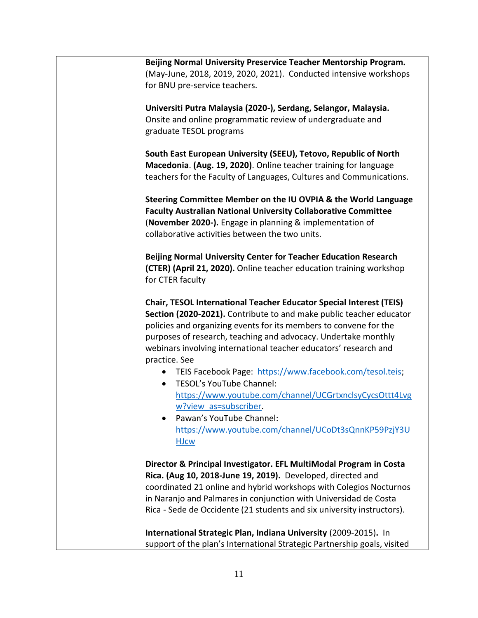|               | Beijing Normal University Preservice Teacher Mentorship Program.                                                                                                                                                                                       |
|---------------|--------------------------------------------------------------------------------------------------------------------------------------------------------------------------------------------------------------------------------------------------------|
|               |                                                                                                                                                                                                                                                        |
|               |                                                                                                                                                                                                                                                        |
|               | (May-June, 2018, 2019, 2020, 2021). Conducted intensive workshops                                                                                                                                                                                      |
|               | for BNU pre-service teachers.                                                                                                                                                                                                                          |
|               | Universiti Putra Malaysia (2020-), Serdang, Selangor, Malaysia.                                                                                                                                                                                        |
|               |                                                                                                                                                                                                                                                        |
|               | Onsite and online programmatic review of undergraduate and                                                                                                                                                                                             |
|               | graduate TESOL programs                                                                                                                                                                                                                                |
|               | South East European University (SEEU), Tetovo, Republic of North                                                                                                                                                                                       |
|               | Macedonia. (Aug. 19, 2020). Online teacher training for language                                                                                                                                                                                       |
|               | teachers for the Faculty of Languages, Cultures and Communications.                                                                                                                                                                                    |
|               | Steering Committee Member on the IU OVPIA & the World Language<br><b>Faculty Australian National University Collaborative Committee</b><br>(November 2020-). Engage in planning & implementation of<br>collaborative activities between the two units. |
|               | Beijing Normal University Center for Teacher Education Research                                                                                                                                                                                        |
|               | (CTER) (April 21, 2020). Online teacher education training workshop                                                                                                                                                                                    |
|               | for CTER faculty                                                                                                                                                                                                                                       |
|               |                                                                                                                                                                                                                                                        |
|               | <b>Chair, TESOL International Teacher Educator Special Interest (TEIS)</b><br>Section (2020-2021). Contribute to and make public teacher educator<br>policies and organizing events for its members to convene for the                                 |
|               | purposes of research, teaching and advocacy. Undertake monthly<br>webinars involving international teacher educators' research and                                                                                                                     |
|               | TEIS Facebook Page: https://www.facebook.com/tesol.teis;                                                                                                                                                                                               |
|               | <b>TESOL's YouTube Channel:</b>                                                                                                                                                                                                                        |
|               |                                                                                                                                                                                                                                                        |
|               | https://www.youtube.com/channel/UCGrtxnclsyCycsOttt4Lvg                                                                                                                                                                                                |
|               | w?view as=subscriber.                                                                                                                                                                                                                                  |
|               | Pawan's YouTube Channel:                                                                                                                                                                                                                               |
|               | https://www.youtube.com/channel/UCoDt3sQnnKP59PzjY3U                                                                                                                                                                                                   |
|               | <b>HJcw</b>                                                                                                                                                                                                                                            |
| practice. See |                                                                                                                                                                                                                                                        |
|               | Director & Principal Investigator. EFL MultiModal Program in Costa                                                                                                                                                                                     |
|               | Rica. (Aug 10, 2018-June 19, 2019). Developed, directed and                                                                                                                                                                                            |
|               | coordinated 21 online and hybrid workshops with Colegios Nocturnos                                                                                                                                                                                     |
|               | in Naranjo and Palmares in conjunction with Universidad de Costa                                                                                                                                                                                       |
|               | Rica - Sede de Occidente (21 students and six university instructors).                                                                                                                                                                                 |
|               |                                                                                                                                                                                                                                                        |
|               | International Strategic Plan, Indiana University (2009-2015). In<br>support of the plan's International Strategic Partnership goals, visited                                                                                                           |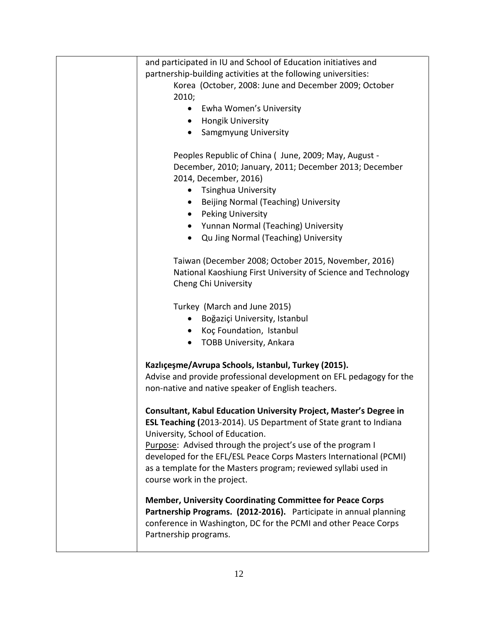| and participated in IU and School of Education initiatives and      |
|---------------------------------------------------------------------|
| partnership-building activities at the following universities:      |
| Korea (October, 2008: June and December 2009; October               |
| 2010;                                                               |
| Ewha Women's University<br>$\bullet$                                |
| • Hongik University                                                 |
| <b>Samgmyung University</b>                                         |
|                                                                     |
| Peoples Republic of China ( June, 2009; May, August -               |
|                                                                     |
| December, 2010; January, 2011; December 2013; December              |
| 2014, December, 2016)                                               |
| Tsinghua University                                                 |
| • Beijing Normal (Teaching) University                              |
| • Peking University                                                 |
| • Yunnan Normal (Teaching) University                               |
| Qu Jing Normal (Teaching) University                                |
|                                                                     |
| Taiwan (December 2008; October 2015, November, 2016)                |
| National Kaoshiung First University of Science and Technology       |
| Cheng Chi University                                                |
|                                                                     |
| Turkey (March and June 2015)                                        |
| Boğaziçi University, Istanbul                                       |
| Koç Foundation, Istanbul                                            |
|                                                                     |
| <b>TOBB University, Ankara</b>                                      |
|                                                                     |
| Kazlıçeşme/Avrupa Schools, Istanbul, Turkey (2015).                 |
| Advise and provide professional development on EFL pedagogy for the |
| non-native and native speaker of English teachers.                  |
|                                                                     |
| Consultant, Kabul Education University Project, Master's Degree in  |
| ESL Teaching (2013-2014). US Department of State grant to Indiana   |
| University, School of Education.                                    |
| Purpose: Advised through the project's use of the program I         |
| developed for the EFL/ESL Peace Corps Masters International (PCMI)  |
| as a template for the Masters program; reviewed syllabi used in     |
| course work in the project.                                         |
|                                                                     |
| <b>Member, University Coordinating Committee for Peace Corps</b>    |
| Partnership Programs. (2012-2016). Participate in annual planning   |
| conference in Washington, DC for the PCMI and other Peace Corps     |
| Partnership programs.                                               |
|                                                                     |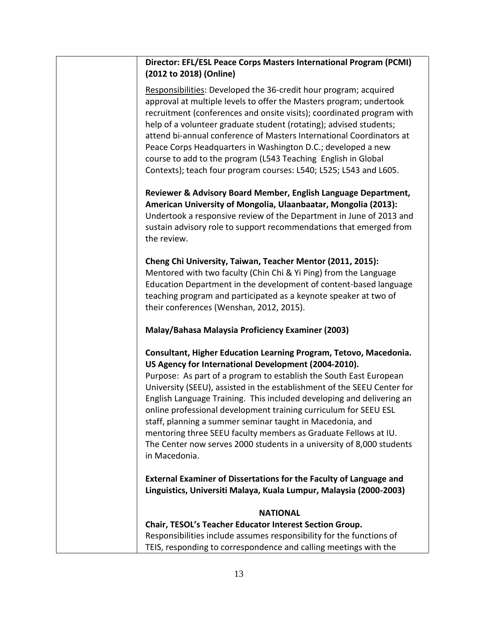| (2012 to 2018) (Online)                  | Director: EFL/ESL Peace Corps Masters International Program (PCMI)                                                                                                                                                                                                                                                                                                                                                                                                                                                                                                                                                               |  |
|------------------------------------------|----------------------------------------------------------------------------------------------------------------------------------------------------------------------------------------------------------------------------------------------------------------------------------------------------------------------------------------------------------------------------------------------------------------------------------------------------------------------------------------------------------------------------------------------------------------------------------------------------------------------------------|--|
|                                          | Responsibilities: Developed the 36-credit hour program; acquired<br>approval at multiple levels to offer the Masters program; undertook<br>recruitment (conferences and onsite visits); coordinated program with<br>help of a volunteer graduate student (rotating); advised students;<br>attend bi-annual conference of Masters International Coordinators at<br>Peace Corps Headquarters in Washington D.C.; developed a new<br>course to add to the program (L543 Teaching English in Global<br>Contexts); teach four program courses: L540; L525; L543 and L605.                                                             |  |
| the review.                              | Reviewer & Advisory Board Member, English Language Department,<br>American University of Mongolia, Ulaanbaatar, Mongolia (2013):<br>Undertook a responsive review of the Department in June of 2013 and<br>sustain advisory role to support recommendations that emerged from                                                                                                                                                                                                                                                                                                                                                    |  |
| their conferences (Wenshan, 2012, 2015). | Cheng Chi University, Taiwan, Teacher Mentor (2011, 2015):<br>Mentored with two faculty (Chin Chi & Yi Ping) from the Language<br>Education Department in the development of content-based language<br>teaching program and participated as a keynote speaker at two of                                                                                                                                                                                                                                                                                                                                                          |  |
|                                          | Malay/Bahasa Malaysia Proficiency Examiner (2003)                                                                                                                                                                                                                                                                                                                                                                                                                                                                                                                                                                                |  |
| in Macedonia.                            | Consultant, Higher Education Learning Program, Tetovo, Macedonia.<br>US Agency for International Development (2004-2010).<br>Purpose: As part of a program to establish the South East European<br>University (SEEU), assisted in the establishment of the SEEU Center for<br>English Language Training. This included developing and delivering an<br>online professional development training curriculum for SEEU ESL<br>staff, planning a summer seminar taught in Macedonia, and<br>mentoring three SEEU faculty members as Graduate Fellows at IU.<br>The Center now serves 2000 students in a university of 8,000 students |  |
|                                          | External Examiner of Dissertations for the Faculty of Language and<br>Linguistics, Universiti Malaya, Kuala Lumpur, Malaysia (2000-2003)                                                                                                                                                                                                                                                                                                                                                                                                                                                                                         |  |
|                                          | <b>NATIONAL</b>                                                                                                                                                                                                                                                                                                                                                                                                                                                                                                                                                                                                                  |  |
|                                          | Chair, TESOL's Teacher Educator Interest Section Group.<br>Responsibilities include assumes responsibility for the functions of<br>TEIS, responding to correspondence and calling meetings with the                                                                                                                                                                                                                                                                                                                                                                                                                              |  |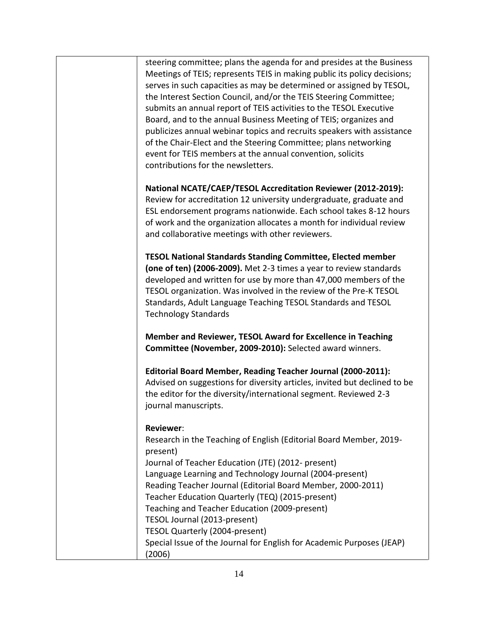| steering committee; plans the agenda for and presides at the Business<br>Meetings of TEIS; represents TEIS in making public its policy decisions;<br>serves in such capacities as may be determined or assigned by TESOL,<br>the Interest Section Council, and/or the TEIS Steering Committee;<br>submits an annual report of TEIS activities to the TESOL Executive<br>Board, and to the annual Business Meeting of TEIS; organizes and<br>publicizes annual webinar topics and recruits speakers with assistance<br>of the Chair-Elect and the Steering Committee; plans networking<br>event for TEIS members at the annual convention, solicits<br>contributions for the newsletters. |
|------------------------------------------------------------------------------------------------------------------------------------------------------------------------------------------------------------------------------------------------------------------------------------------------------------------------------------------------------------------------------------------------------------------------------------------------------------------------------------------------------------------------------------------------------------------------------------------------------------------------------------------------------------------------------------------|
| National NCATE/CAEP/TESOL Accreditation Reviewer (2012-2019):<br>Review for accreditation 12 university undergraduate, graduate and<br>ESL endorsement programs nationwide. Each school takes 8-12 hours<br>of work and the organization allocates a month for individual review<br>and collaborative meetings with other reviewers.                                                                                                                                                                                                                                                                                                                                                     |
| <b>TESOL National Standards Standing Committee, Elected member</b><br>(one of ten) (2006-2009). Met 2-3 times a year to review standards<br>developed and written for use by more than 47,000 members of the<br>TESOL organization. Was involved in the review of the Pre-K TESOL<br>Standards, Adult Language Teaching TESOL Standards and TESOL<br><b>Technology Standards</b>                                                                                                                                                                                                                                                                                                         |
| Member and Reviewer, TESOL Award for Excellence in Teaching<br>Committee (November, 2009-2010): Selected award winners.                                                                                                                                                                                                                                                                                                                                                                                                                                                                                                                                                                  |
| Editorial Board Member, Reading Teacher Journal (2000-2011):<br>Advised on suggestions for diversity articles, invited but declined to be<br>the editor for the diversity/international segment. Reviewed 2-3<br>journal manuscripts.                                                                                                                                                                                                                                                                                                                                                                                                                                                    |
| <b>Reviewer:</b><br>Research in the Teaching of English (Editorial Board Member, 2019-<br>present)<br>Journal of Teacher Education (JTE) (2012- present)<br>Language Learning and Technology Journal (2004-present)<br>Reading Teacher Journal (Editorial Board Member, 2000-2011)<br>Teacher Education Quarterly (TEQ) (2015-present)<br>Teaching and Teacher Education (2009-present)<br>TESOL Journal (2013-present)<br>TESOL Quarterly (2004-present)<br>Special Issue of the Journal for English for Academic Purposes (JEAP)                                                                                                                                                       |
| (2006)                                                                                                                                                                                                                                                                                                                                                                                                                                                                                                                                                                                                                                                                                   |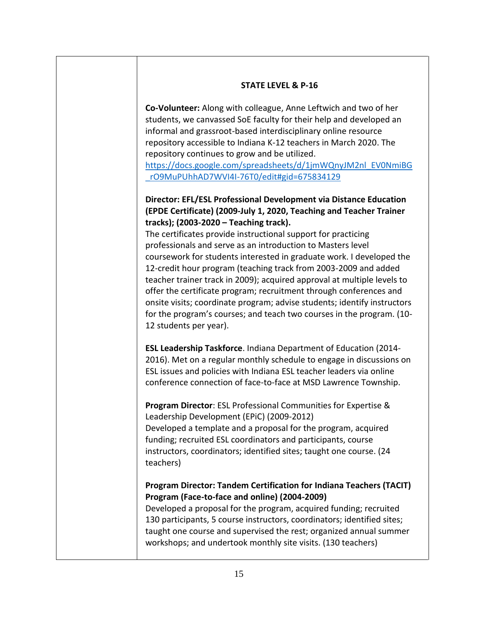## **STATE LEVEL & P-16**

**Co-Volunteer:** Along with colleague, Anne Leftwich and two of her students, we canvassed SoE faculty for their help and developed an informal and grassroot-based interdisciplinary online resource repository accessible to Indiana K-12 teachers in March 2020. The repository continues to grow and be utilized.

[https://docs.google.com/spreadsheets/d/1jmWQnyJM2nl\\_EV0NmiBG](https://docs.google.com/spreadsheets/d/1jmWQnyJM2nl_EV0NmiBG_rO9MuPUhhAD7WVI4I-76T0/edit#gid=675834129) [\\_rO9MuPUhhAD7WVI4I-76T0/edit#gid=675834129](https://docs.google.com/spreadsheets/d/1jmWQnyJM2nl_EV0NmiBG_rO9MuPUhhAD7WVI4I-76T0/edit#gid=675834129)

## **Director: EFL/ESL Professional Development via Distance Education (EPDE Certificate) (2009-July 1, 2020, Teaching and Teacher Trainer tracks); (2003-2020 – Teaching track).**

The certificates provide instructional support for practicing professionals and serve as an introduction to Masters level coursework for students interested in graduate work. I developed the 12-credit hour program (teaching track from 2003-2009 and added teacher trainer track in 2009); acquired approval at multiple levels to offer the certificate program; recruitment through conferences and onsite visits; coordinate program; advise students; identify instructors for the program's courses; and teach two courses in the program. (10- 12 students per year).

**ESL Leadership Taskforce**. Indiana Department of Education (2014- 2016). Met on a regular monthly schedule to engage in discussions on ESL issues and policies with Indiana ESL teacher leaders via online conference connection of face-to-face at MSD Lawrence Township.

**Program Director**: ESL Professional Communities for Expertise & Leadership Development (EPiC) (2009-2012) Developed a template and a proposal for the program, acquired funding; recruited ESL coordinators and participants, course instructors, coordinators; identified sites; taught one course. (24 teachers)

## **Program Director: Tandem Certification for Indiana Teachers (TACIT) Program (Face-to-face and online) (2004-2009)**

Developed a proposal for the program, acquired funding; recruited 130 participants, 5 course instructors, coordinators; identified sites; taught one course and supervised the rest; organized annual summer workshops; and undertook monthly site visits. (130 teachers)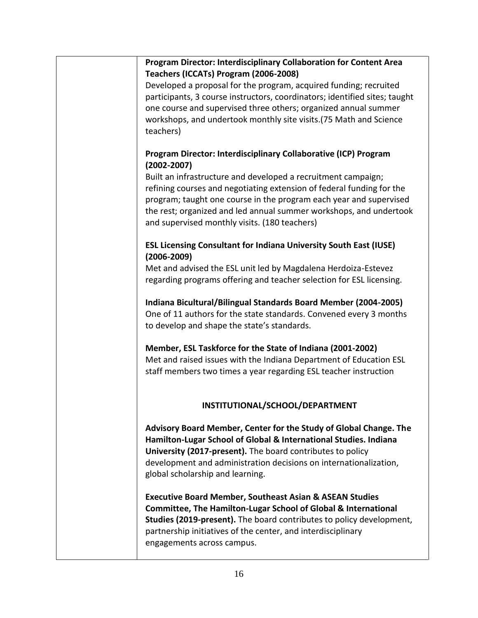| Program Director: Interdisciplinary Collaboration for Content Area<br>Teachers (ICCATs) Program (2006-2008) |
|-------------------------------------------------------------------------------------------------------------|
| Developed a proposal for the program, acquired funding; recruited                                           |
| participants, 3 course instructors, coordinators; identified sites; taught                                  |
| one course and supervised three others; organized annual summer                                             |
|                                                                                                             |
| workshops, and undertook monthly site visits. (75 Math and Science                                          |
| teachers)                                                                                                   |
|                                                                                                             |
| Program Director: Interdisciplinary Collaborative (ICP) Program                                             |
| $(2002 - 2007)$                                                                                             |
| Built an infrastructure and developed a recruitment campaign;                                               |
| refining courses and negotiating extension of federal funding for the                                       |
| program; taught one course in the program each year and supervised                                          |
| the rest; organized and led annual summer workshops, and undertook                                          |
|                                                                                                             |
| and supervised monthly visits. (180 teachers)                                                               |
| <b>ESL Licensing Consultant for Indiana University South East (IUSE)</b>                                    |
| $(2006 - 2009)$                                                                                             |
|                                                                                                             |
| Met and advised the ESL unit led by Magdalena Herdoiza-Estevez                                              |
| regarding programs offering and teacher selection for ESL licensing.                                        |
| Indiana Bicultural/Bilingual Standards Board Member (2004-2005)                                             |
|                                                                                                             |
| One of 11 authors for the state standards. Convened every 3 months                                          |
| to develop and shape the state's standards.                                                                 |
| Member, ESL Taskforce for the State of Indiana (2001-2002)                                                  |
|                                                                                                             |
| Met and raised issues with the Indiana Department of Education ESL                                          |
| staff members two times a year regarding ESL teacher instruction                                            |
|                                                                                                             |
| INSTITUTIONAL/SCHOOL/DEPARTMENT                                                                             |
|                                                                                                             |
| Advisory Board Member, Center for the Study of Global Change. The                                           |
| Hamilton-Lugar School of Global & International Studies. Indiana                                            |
|                                                                                                             |
| University (2017-present). The board contributes to policy                                                  |
| development and administration decisions on internationalization,                                           |
| global scholarship and learning.                                                                            |
|                                                                                                             |
| <b>Executive Board Member, Southeast Asian &amp; ASEAN Studies</b>                                          |
| <b>Committee, The Hamilton-Lugar School of Global &amp; International</b>                                   |
| Studies (2019-present). The board contributes to policy development,                                        |
| partnership initiatives of the center, and interdisciplinary                                                |
| engagements across campus.                                                                                  |
|                                                                                                             |
|                                                                                                             |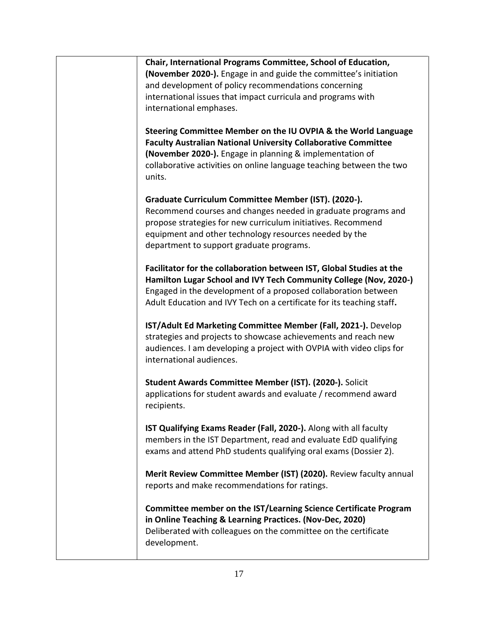| Chair, International Programs Committee, School of Education,<br>(November 2020-). Engage in and guide the committee's initiation<br>and development of policy recommendations concerning<br>international issues that impact curricula and programs with<br>international emphases.        |
|---------------------------------------------------------------------------------------------------------------------------------------------------------------------------------------------------------------------------------------------------------------------------------------------|
| Steering Committee Member on the IU OVPIA & the World Language<br><b>Faculty Australian National University Collaborative Committee</b><br>(November 2020-). Engage in planning & implementation of<br>collaborative activities on online language teaching between the two<br>units.       |
| Graduate Curriculum Committee Member (IST). (2020-).<br>Recommend courses and changes needed in graduate programs and<br>propose strategies for new curriculum initiatives. Recommend<br>equipment and other technology resources needed by the<br>department to support graduate programs. |
| Facilitator for the collaboration between IST, Global Studies at the<br>Hamilton Lugar School and IVY Tech Community College (Nov, 2020-)<br>Engaged in the development of a proposed collaboration between<br>Adult Education and IVY Tech on a certificate for its teaching staff.        |
| IST/Adult Ed Marketing Committee Member (Fall, 2021-). Develop<br>strategies and projects to showcase achievements and reach new<br>audiences. I am developing a project with OVPIA with video clips for<br>international audiences.                                                        |
| Student Awards Committee Member (IST). (2020-). Solicit<br>applications for student awards and evaluate / recommend award<br>recipients.                                                                                                                                                    |
| IST Qualifying Exams Reader (Fall, 2020-). Along with all faculty<br>members in the IST Department, read and evaluate EdD qualifying<br>exams and attend PhD students qualifying oral exams (Dossier 2).                                                                                    |
| Merit Review Committee Member (IST) (2020). Review faculty annual<br>reports and make recommendations for ratings.                                                                                                                                                                          |
| Committee member on the IST/Learning Science Certificate Program<br>in Online Teaching & Learning Practices. (Nov-Dec, 2020)<br>Deliberated with colleagues on the committee on the certificate<br>development.                                                                             |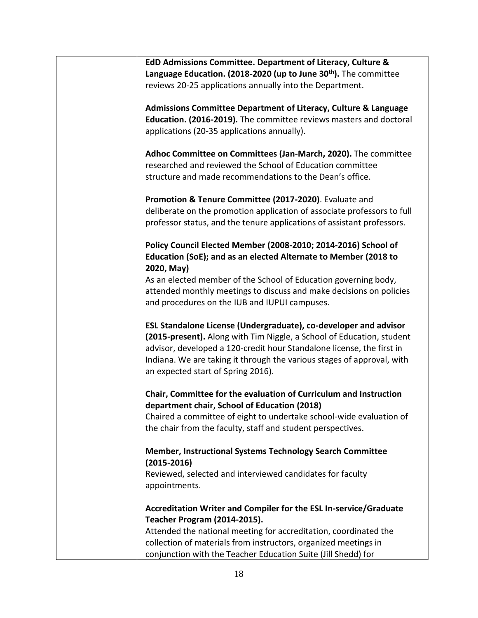| EdD Admissions Committee. Department of Literacy, Culture &<br>Language Education. (2018-2020 (up to June 30 <sup>th</sup> ). The committee<br>reviews 20-25 applications annually into the Department.                                                                                                                            |
|------------------------------------------------------------------------------------------------------------------------------------------------------------------------------------------------------------------------------------------------------------------------------------------------------------------------------------|
| <b>Admissions Committee Department of Literacy, Culture &amp; Language</b><br>Education. (2016-2019). The committee reviews masters and doctoral<br>applications (20-35 applications annually).                                                                                                                                    |
| Adhoc Committee on Committees (Jan-March, 2020). The committee<br>researched and reviewed the School of Education committee<br>structure and made recommendations to the Dean's office.                                                                                                                                            |
| Promotion & Tenure Committee (2017-2020). Evaluate and<br>deliberate on the promotion application of associate professors to full<br>professor status, and the tenure applications of assistant professors.                                                                                                                        |
| Policy Council Elected Member (2008-2010; 2014-2016) School of<br>Education (SoE); and as an elected Alternate to Member (2018 to<br>2020, May)                                                                                                                                                                                    |
| As an elected member of the School of Education governing body,<br>attended monthly meetings to discuss and make decisions on policies<br>and procedures on the IUB and IUPUI campuses.                                                                                                                                            |
| ESL Standalone License (Undergraduate), co-developer and advisor<br>(2015-present). Along with Tim Niggle, a School of Education, student<br>advisor, developed a 120-credit hour Standalone license, the first in<br>Indiana. We are taking it through the various stages of approval, with<br>an expected start of Spring 2016). |
| Chair, Committee for the evaluation of Curriculum and Instruction<br>department chair, School of Education (2018)<br>Chaired a committee of eight to undertake school-wide evaluation of                                                                                                                                           |
| the chair from the faculty, staff and student perspectives.<br><b>Member, Instructional Systems Technology Search Committee</b><br>$(2015 - 2016)$                                                                                                                                                                                 |
| Reviewed, selected and interviewed candidates for faculty<br>appointments.                                                                                                                                                                                                                                                         |
| Accreditation Writer and Compiler for the ESL In-service/Graduate<br>Teacher Program (2014-2015).<br>Attended the national meeting for accreditation, coordinated the<br>collection of materials from instructors, organized meetings in                                                                                           |
| conjunction with the Teacher Education Suite (Jill Shedd) for                                                                                                                                                                                                                                                                      |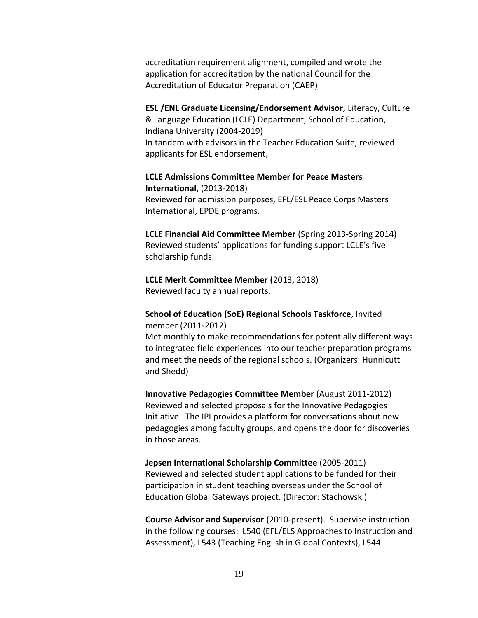| accreditation requirement alignment, compiled and wrote the           |
|-----------------------------------------------------------------------|
| application for accreditation by the national Council for the         |
| Accreditation of Educator Preparation (CAEP)                          |
|                                                                       |
| ESL / ENL Graduate Licensing/Endorsement Advisor, Literacy, Culture   |
| & Language Education (LCLE) Department, School of Education,          |
|                                                                       |
| Indiana University (2004-2019)                                        |
| In tandem with advisors in the Teacher Education Suite, reviewed      |
| applicants for ESL endorsement,                                       |
|                                                                       |
| <b>LCLE Admissions Committee Member for Peace Masters</b>             |
| <b>International, (2013-2018)</b>                                     |
| Reviewed for admission purposes, EFL/ESL Peace Corps Masters          |
|                                                                       |
| International, EPDE programs.                                         |
|                                                                       |
| LCLE Financial Aid Committee Member (Spring 2013-Spring 2014)         |
| Reviewed students' applications for funding support LCLE's five       |
| scholarship funds.                                                    |
|                                                                       |
| LCLE Merit Committee Member (2013, 2018)                              |
| Reviewed faculty annual reports.                                      |
|                                                                       |
|                                                                       |
| School of Education (SoE) Regional Schools Taskforce, Invited         |
| member (2011-2012)                                                    |
| Met monthly to make recommendations for potentially different ways    |
| to integrated field experiences into our teacher preparation programs |
| and meet the needs of the regional schools. (Organizers: Hunnicutt    |
| and Shedd)                                                            |
|                                                                       |
| Innovative Pedagogies Committee Member (August 2011-2012)             |
| Reviewed and selected proposals for the Innovative Pedagogies         |
|                                                                       |
| Initiative. The IPI provides a platform for conversations about new   |
| pedagogies among faculty groups, and opens the door for discoveries   |
| in those areas.                                                       |
|                                                                       |
| Jepsen International Scholarship Committee (2005-2011)                |
| Reviewed and selected student applications to be funded for their     |
| participation in student teaching overseas under the School of        |
| Education Global Gateways project. (Director: Stachowski)             |
|                                                                       |
|                                                                       |
| Course Advisor and Supervisor (2010-present). Supervise instruction   |
| in the following courses: L540 (EFL/ELS Approaches to Instruction and |
| Assessment), L543 (Teaching English in Global Contexts), L544         |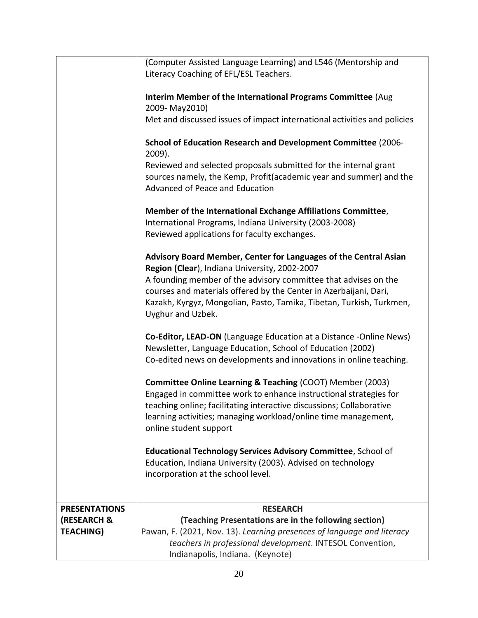|                        | (Computer Assisted Language Learning) and L546 (Mentorship and<br>Literacy Coaching of EFL/ESL Teachers.                                                                                                                          |
|------------------------|-----------------------------------------------------------------------------------------------------------------------------------------------------------------------------------------------------------------------------------|
|                        | Interim Member of the International Programs Committee (Aug<br>2009-May2010)                                                                                                                                                      |
|                        | Met and discussed issues of impact international activities and policies                                                                                                                                                          |
|                        | School of Education Research and Development Committee (2006-<br>2009).                                                                                                                                                           |
|                        | Reviewed and selected proposals submitted for the internal grant                                                                                                                                                                  |
|                        | sources namely, the Kemp, Profit (academic year and summer) and the<br>Advanced of Peace and Education                                                                                                                            |
|                        | Member of the International Exchange Affiliations Committee,<br>International Programs, Indiana University (2003-2008)<br>Reviewed applications for faculty exchanges.                                                            |
|                        | Advisory Board Member, Center for Languages of the Central Asian<br>Region (Clear), Indiana University, 2002-2007                                                                                                                 |
|                        | A founding member of the advisory committee that advises on the<br>courses and materials offered by the Center in Azerbaijani, Dari,<br>Kazakh, Kyrgyz, Mongolian, Pasto, Tamika, Tibetan, Turkish, Turkmen,<br>Uyghur and Uzbek. |
|                        | Co-Editor, LEAD-ON (Language Education at a Distance -Online News)<br>Newsletter, Language Education, School of Education (2002)<br>Co-edited news on developments and innovations in online teaching.                            |
|                        | <b>Committee Online Learning &amp; Teaching (COOT) Member (2003)</b>                                                                                                                                                              |
|                        | Engaged in committee work to enhance instructional strategies for                                                                                                                                                                 |
|                        | teaching online; facilitating interactive discussions; Collaborative<br>learning activities; managing workload/online time management,<br>online student support                                                                  |
|                        | Educational Technology Services Advisory Committee, School of<br>Education, Indiana University (2003). Advised on technology<br>incorporation at the school level.                                                                |
|                        |                                                                                                                                                                                                                                   |
| <b>PRESENTATIONS</b>   | <b>RESEARCH</b>                                                                                                                                                                                                                   |
| <b>(RESEARCH &amp;</b> | (Teaching Presentations are in the following section)                                                                                                                                                                             |
| <b>TEACHING)</b>       | Pawan, F. (2021, Nov. 13). Learning presences of language and literacy                                                                                                                                                            |
|                        | teachers in professional development. INTESOL Convention,<br>Indianapolis, Indiana. (Keynote)                                                                                                                                     |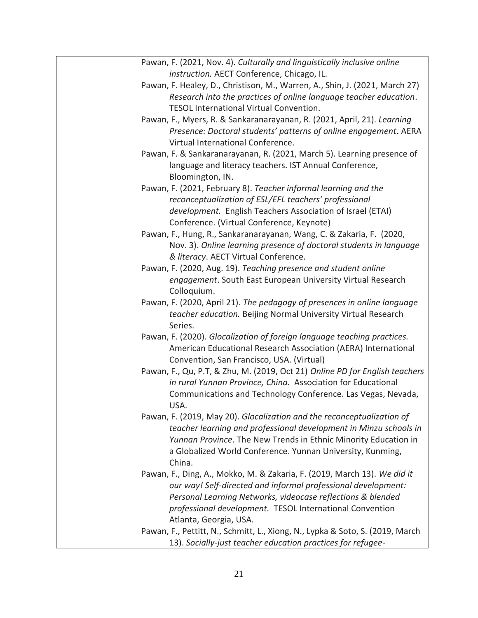| Pawan, F. (2021, Nov. 4). Culturally and linguistically inclusive online      |
|-------------------------------------------------------------------------------|
| instruction. AECT Conference, Chicago, IL.                                    |
| Pawan, F. Healey, D., Christison, M., Warren, A., Shin, J. (2021, March 27)   |
| Research into the practices of online language teacher education.             |
| TESOL International Virtual Convention.                                       |
| Pawan, F., Myers, R. & Sankaranarayanan, R. (2021, April, 21). Learning       |
| Presence: Doctoral students' patterns of online engagement. AERA              |
| Virtual International Conference.                                             |
| Pawan, F. & Sankaranarayanan, R. (2021, March 5). Learning presence of        |
| language and literacy teachers. IST Annual Conference,                        |
| Bloomington, IN.                                                              |
| Pawan, F. (2021, February 8). Teacher informal learning and the               |
| reconceptualization of ESL/EFL teachers' professional                         |
| development. English Teachers Association of Israel (ETAI)                    |
| Conference. (Virtual Conference, Keynote)                                     |
| Pawan, F., Hung, R., Sankaranarayanan, Wang, C. & Zakaria, F. (2020,          |
| Nov. 3). Online learning presence of doctoral students in language            |
| & literacy. AECT Virtual Conference.                                          |
| Pawan, F. (2020, Aug. 19). Teaching presence and student online               |
| engagement. South East European University Virtual Research                   |
| Colloquium.                                                                   |
| Pawan, F. (2020, April 21). The pedagogy of presences in online language      |
| teacher education. Beijing Normal University Virtual Research                 |
| Series.                                                                       |
| Pawan, F. (2020). Glocalization of foreign language teaching practices.       |
| American Educational Research Association (AERA) International                |
| Convention, San Francisco, USA. (Virtual)                                     |
| Pawan, F., Qu, P.T, & Zhu, M. (2019, Oct 21) Online PD for English teachers   |
| in rural Yunnan Province, China. Association for Educational                  |
| Communications and Technology Conference. Las Vegas, Nevada,                  |
| USA.                                                                          |
| Pawan, F. (2019, May 20). Glocalization and the reconceptualization of        |
| teacher learning and professional development in Minzu schools in             |
| Yunnan Province. The New Trends in Ethnic Minority Education in               |
| a Globalized World Conference. Yunnan University, Kunming,                    |
| China.                                                                        |
| Pawan, F., Ding, A., Mokko, M. & Zakaria, F. (2019, March 13). We did it      |
| our way! Self-directed and informal professional development:                 |
| Personal Learning Networks, videocase reflections & blended                   |
| professional development. TESOL International Convention                      |
| Atlanta, Georgia, USA.                                                        |
| Pawan, F., Pettitt, N., Schmitt, L., Xiong, N., Lypka & Soto, S. (2019, March |
| 13). Socially-just teacher education practices for refugee-                   |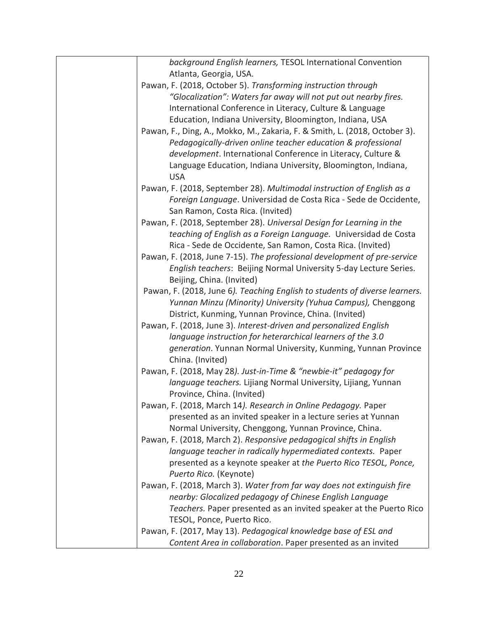| background English learners, TESOL International Convention                 |
|-----------------------------------------------------------------------------|
| Atlanta, Georgia, USA.                                                      |
| Pawan, F. (2018, October 5). Transforming instruction through               |
| "Glocalization": Waters far away will not put out nearby fires.             |
| International Conference in Literacy, Culture & Language                    |
| Education, Indiana University, Bloomington, Indiana, USA                    |
| Pawan, F., Ding, A., Mokko, M., Zakaria, F. & Smith, L. (2018, October 3).  |
| Pedagogically-driven online teacher education & professional                |
| development. International Conference in Literacy, Culture &                |
| Language Education, Indiana University, Bloomington, Indiana,               |
| <b>USA</b>                                                                  |
| Pawan, F. (2018, September 28). Multimodal instruction of English as a      |
| Foreign Language. Universidad de Costa Rica - Sede de Occidente,            |
| San Ramon, Costa Rica. (Invited)                                            |
| Pawan, F. (2018, September 28). Universal Design for Learning in the        |
| teaching of English as a Foreign Language. Universidad de Costa             |
| Rica - Sede de Occidente, San Ramon, Costa Rica. (Invited)                  |
| Pawan, F. (2018, June 7-15). The professional development of pre-service    |
| English teachers: Beijing Normal University 5-day Lecture Series.           |
| Beijing, China. (Invited)                                                   |
| Pawan, F. (2018, June 6). Teaching English to students of diverse learners. |
| Yunnan Minzu (Minority) University (Yuhua Campus), Chenggong                |
| District, Kunming, Yunnan Province, China. (Invited)                        |
| Pawan, F. (2018, June 3). Interest-driven and personalized English          |
| language instruction for heterarchical learners of the 3.0                  |
| generation. Yunnan Normal University, Kunming, Yunnan Province              |
| China. (Invited)                                                            |
| Pawan, F. (2018, May 28). Just-in-Time & "newbie-it" pedagogy for           |
| language teachers. Lijiang Normal University, Lijiang, Yunnan               |
| Province, China. (Invited)                                                  |
| Pawan, F. (2018, March 14). Research in Online Pedagogy. Paper              |
| presented as an invited speaker in a lecture series at Yunnan               |
| Normal University, Chenggong, Yunnan Province, China.                       |
| Pawan, F. (2018, March 2). Responsive pedagogical shifts in English         |
| language teacher in radically hypermediated contexts. Paper                 |
| presented as a keynote speaker at the Puerto Rico TESOL, Ponce,             |
| Puerto Rico. (Keynote)                                                      |
| Pawan, F. (2018, March 3). Water from far way does not extinguish fire      |
| nearby: Glocalized pedagogy of Chinese English Language                     |
| Teachers. Paper presented as an invited speaker at the Puerto Rico          |
| TESOL, Ponce, Puerto Rico.                                                  |
| Pawan, F. (2017, May 13). Pedagogical knowledge base of ESL and             |
| Content Area in collaboration. Paper presented as an invited                |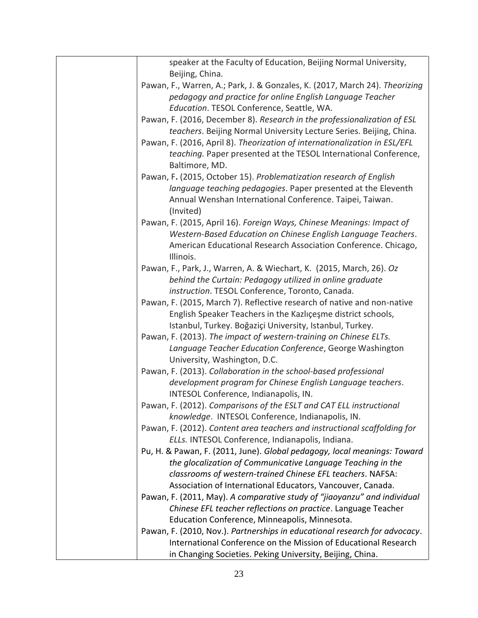| speaker at the Faculty of Education, Beijing Normal University,<br>Beijing, China. |
|------------------------------------------------------------------------------------|
| Pawan, F., Warren, A.; Park, J. & Gonzales, K. (2017, March 24). Theorizing        |
| pedagogy and practice for online English Language Teacher                          |
| Education. TESOL Conference, Seattle, WA.                                          |
|                                                                                    |
| Pawan, F. (2016, December 8). Research in the professionalization of ESL           |
| teachers. Beijing Normal University Lecture Series. Beijing, China.                |
| Pawan, F. (2016, April 8). Theorization of internationalization in ESL/EFL         |
| teaching. Paper presented at the TESOL International Conference,                   |
| Baltimore, MD.                                                                     |
| Pawan, F. (2015, October 15). Problematization research of English                 |
| language teaching pedagogies. Paper presented at the Eleventh                      |
| Annual Wenshan International Conference. Taipei, Taiwan.                           |
| (Invited)                                                                          |
| Pawan, F. (2015, April 16). Foreign Ways, Chinese Meanings: Impact of              |
| Western-Based Education on Chinese English Language Teachers.                      |
| American Educational Research Association Conference. Chicago,                     |
| Illinois.                                                                          |
| Pawan, F., Park, J., Warren, A. & Wiechart, K. (2015, March, 26). Oz               |
| behind the Curtain: Pedagogy utilized in online graduate                           |
| instruction. TESOL Conference, Toronto, Canada.                                    |
| Pawan, F. (2015, March 7). Reflective research of native and non-native            |
| English Speaker Teachers in the Kazlıçeşme district schools,                       |
| Istanbul, Turkey. Boğaziçi University, Istanbul, Turkey.                           |
| Pawan, F. (2013). The impact of western-training on Chinese ELTs.                  |
| Language Teacher Education Conference, George Washington                           |
| University, Washington, D.C.                                                       |
| Pawan, F. (2013). Collaboration in the school-based professional                   |
| development program for Chinese English Language teachers.                         |
| INTESOL Conference, Indianapolis, IN.                                              |
| Pawan, F. (2012). Comparisons of the ESLT and CAT ELL instructional                |
| knowledge. INTESOL Conference, Indianapolis, IN.                                   |
| Pawan, F. (2012). Content area teachers and instructional scaffolding for          |
| ELLs. INTESOL Conference, Indianapolis, Indiana.                                   |
| Pu, H. & Pawan, F. (2011, June). Global pedagogy, local meanings: Toward           |
| the glocalization of Communicative Language Teaching in the                        |
| classrooms of western-trained Chinese EFL teachers. NAFSA:                         |
| Association of International Educators, Vancouver, Canada.                         |
| Pawan, F. (2011, May). A comparative study of "jiaoyanzu" and individual           |
| Chinese EFL teacher reflections on practice. Language Teacher                      |
| Education Conference, Minneapolis, Minnesota.                                      |
| Pawan, F. (2010, Nov.). Partnerships in educational research for advocacy.         |
| International Conference on the Mission of Educational Research                    |
| in Changing Societies. Peking University, Beijing, China.                          |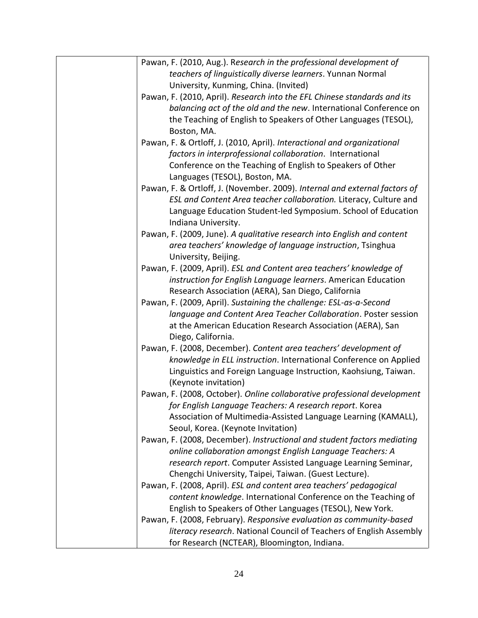| Pawan, F. (2010, Aug.). Research in the professional development of         |
|-----------------------------------------------------------------------------|
| teachers of linguistically diverse learners. Yunnan Normal                  |
| University, Kunming, China. (Invited)                                       |
| Pawan, F. (2010, April). Research into the EFL Chinese standards and its    |
| balancing act of the old and the new. International Conference on           |
| the Teaching of English to Speakers of Other Languages (TESOL),             |
| Boston, MA.                                                                 |
| Pawan, F. & Ortloff, J. (2010, April). Interactional and organizational     |
| factors in interprofessional collaboration. International                   |
| Conference on the Teaching of English to Speakers of Other                  |
| Languages (TESOL), Boston, MA.                                              |
| Pawan, F. & Ortloff, J. (November. 2009). Internal and external factors of  |
| ESL and Content Area teacher collaboration. Literacy, Culture and           |
| Language Education Student-led Symposium. School of Education               |
| Indiana University.                                                         |
| Pawan, F. (2009, June). A qualitative research into English and content     |
| area teachers' knowledge of language instruction, Tsinghua                  |
| University, Beijing.                                                        |
| Pawan, F. (2009, April). ESL and Content area teachers' knowledge of        |
| instruction for English Language learners. American Education               |
| Research Association (AERA), San Diego, California                          |
| Pawan, F. (2009, April). Sustaining the challenge: ESL-as-a-Second          |
| language and Content Area Teacher Collaboration. Poster session             |
| at the American Education Research Association (AERA), San                  |
| Diego, California.                                                          |
| Pawan, F. (2008, December). Content area teachers' development of           |
| knowledge in ELL instruction. International Conference on Applied           |
| Linguistics and Foreign Language Instruction, Kaohsiung, Taiwan.            |
| (Keynote invitation)                                                        |
| Pawan, F. (2008, October). Online collaborative professional development    |
| for English Language Teachers: A research report. Korea                     |
| Association of Multimedia-Assisted Language Learning (KAMALL),              |
| Seoul, Korea. (Keynote Invitation)                                          |
| Pawan, F. (2008, December). Instructional and student factors mediating     |
| online collaboration amongst English Language Teachers: A                   |
| research report. Computer Assisted Language Learning Seminar,               |
| Chengchi University, Taipei, Taiwan. (Guest Lecture).                       |
| Pawan, F. (2008, April). ESL and content area teachers' pedagogical         |
| content knowledge. International Conference on the Teaching of              |
| English to Speakers of Other Languages (TESOL), New York.                   |
| Pawan, F. (2008, February). Responsive evaluation as community-based        |
| <i>literacy research</i> . National Council of Teachers of English Assembly |
| for Research (NCTEAR), Bloomington, Indiana.                                |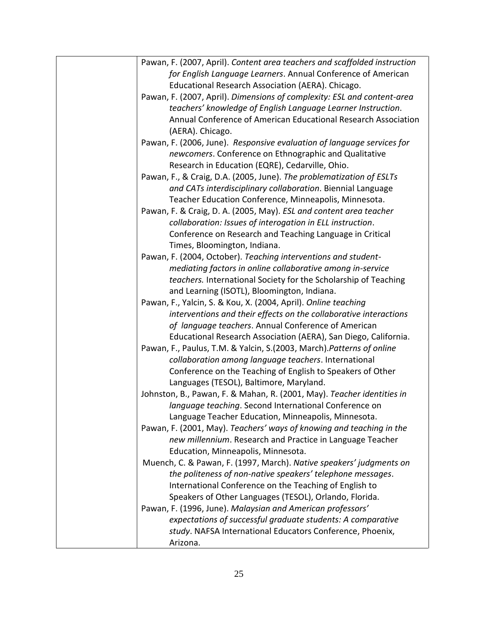| Pawan, F. (2007, April). Content area teachers and scaffolded instruction |
|---------------------------------------------------------------------------|
| for English Language Learners. Annual Conference of American              |
| Educational Research Association (AERA). Chicago.                         |
| Pawan, F. (2007, April). Dimensions of complexity: ESL and content-area   |
| teachers' knowledge of English Language Learner Instruction.              |
| Annual Conference of American Educational Research Association            |
| (AERA). Chicago.                                                          |
| Pawan, F. (2006, June). Responsive evaluation of language services for    |
| newcomers. Conference on Ethnographic and Qualitative                     |
| Research in Education (EQRE), Cedarville, Ohio.                           |
| Pawan, F., & Craig, D.A. (2005, June). The problematization of ESLTs      |
| and CATs interdisciplinary collaboration. Biennial Language               |
| Teacher Education Conference, Minneapolis, Minnesota.                     |
| Pawan, F. & Craig, D. A. (2005, May). ESL and content area teacher        |
| collaboration: Issues of interogation in ELL instruction.                 |
| Conference on Research and Teaching Language in Critical                  |
| Times, Bloomington, Indiana.                                              |
| Pawan, F. (2004, October). Teaching interventions and student-            |
| mediating factors in online collaborative among in-service                |
| teachers. International Society for the Scholarship of Teaching           |
| and Learning (ISOTL), Bloomington, Indiana.                               |
| Pawan, F., Yalcin, S. & Kou, X. (2004, April). Online teaching            |
| interventions and their effects on the collaborative interactions         |
| of language teachers. Annual Conference of American                       |
| Educational Research Association (AERA), San Diego, California.           |
| Pawan, F., Paulus, T.M. & Yalcin, S.(2003, March). Patterns of online     |
| collaboration among language teachers. International                      |
| Conference on the Teaching of English to Speakers of Other                |
| Languages (TESOL), Baltimore, Maryland.                                   |
| Johnston, B., Pawan, F. & Mahan, R. (2001, May). Teacher identities in    |
| language teaching. Second International Conference on                     |
| Language Teacher Education, Minneapolis, Minnesota.                       |
| Pawan, F. (2001, May). Teachers' ways of knowing and teaching in the      |
| new millennium. Research and Practice in Language Teacher                 |
| Education, Minneapolis, Minnesota.                                        |
| Muench, C. & Pawan, F. (1997, March). Native speakers' judgments on       |
| the politeness of non-native speakers' telephone messages.                |
| International Conference on the Teaching of English to                    |
| Speakers of Other Languages (TESOL), Orlando, Florida.                    |
| Pawan, F. (1996, June). Malaysian and American professors'                |
| expectations of successful graduate students: A comparative               |
| study. NAFSA International Educators Conference, Phoenix,                 |
| Arizona.                                                                  |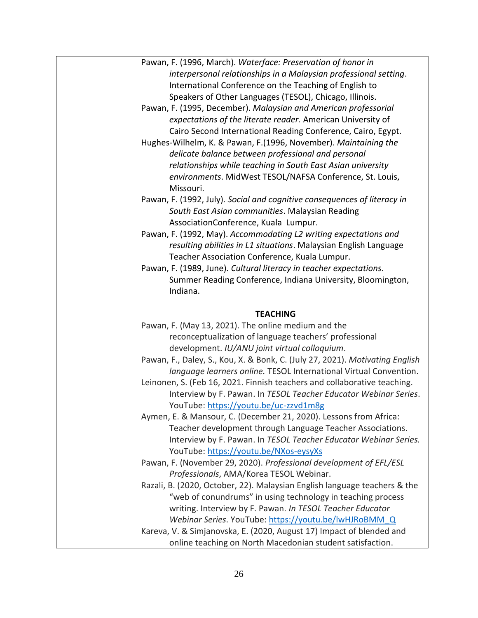| Pawan, F. (1996, March). Waterface: Preservation of honor in                                                                      |
|-----------------------------------------------------------------------------------------------------------------------------------|
| interpersonal relationships in a Malaysian professional setting.                                                                  |
| International Conference on the Teaching of English to                                                                            |
| Speakers of Other Languages (TESOL), Chicago, Illinois.                                                                           |
| Pawan, F. (1995, December). Malaysian and American professorial                                                                   |
| expectations of the literate reader. American University of                                                                       |
| Cairo Second International Reading Conference, Cairo, Egypt.                                                                      |
| Hughes-Wilhelm, K. & Pawan, F. (1996, November). Maintaining the                                                                  |
| delicate balance between professional and personal                                                                                |
| relationships while teaching in South East Asian university                                                                       |
| environments. MidWest TESOL/NAFSA Conference, St. Louis,                                                                          |
| Missouri.                                                                                                                         |
| Pawan, F. (1992, July). Social and cognitive consequences of literacy in                                                          |
| South East Asian communities. Malaysian Reading                                                                                   |
| AssociationConference, Kuala Lumpur.                                                                                              |
| Pawan, F. (1992, May). Accommodating L2 writing expectations and                                                                  |
| resulting abilities in L1 situations. Malaysian English Language                                                                  |
|                                                                                                                                   |
| Teacher Association Conference, Kuala Lumpur.                                                                                     |
| Pawan, F. (1989, June). Cultural literacy in teacher expectations.                                                                |
| Summer Reading Conference, Indiana University, Bloomington,                                                                       |
| Indiana.                                                                                                                          |
| <b>TEACHING</b>                                                                                                                   |
|                                                                                                                                   |
|                                                                                                                                   |
| Pawan, F. (May 13, 2021). The online medium and the                                                                               |
| reconceptualization of language teachers' professional                                                                            |
| development. IU/ANU joint virtual colloquium.                                                                                     |
| Pawan, F., Daley, S., Kou, X. & Bonk, C. (July 27, 2021). Motivating English                                                      |
| language learners online. TESOL International Virtual Convention.                                                                 |
| Leinonen, S. (Feb 16, 2021. Finnish teachers and collaborative teaching.                                                          |
| Interview by F. Pawan. In TESOL Teacher Educator Webinar Series.                                                                  |
| YouTube: https://youtu.be/uc-zzvd1m8g                                                                                             |
| Aymen, E. & Mansour, C. (December 21, 2020). Lessons from Africa:                                                                 |
| Teacher development through Language Teacher Associations.                                                                        |
| Interview by F. Pawan. In TESOL Teacher Educator Webinar Series.                                                                  |
| YouTube: https://youtu.be/NXos-eysyXs                                                                                             |
| Pawan, F. (November 29, 2020). Professional development of EFL/ESL                                                                |
| Professionals, AMA/Korea TESOL Webinar.                                                                                           |
| Razali, B. (2020, October, 22). Malaysian English language teachers & the                                                         |
| "web of conundrums" in using technology in teaching process                                                                       |
| writing. Interview by F. Pawan. In TESOL Teacher Educator                                                                         |
| Webinar Series. YouTube: https://youtu.be/lwHJRoBMM Q                                                                             |
| Kareva, V. & Simjanovska, E. (2020, August 17) Impact of blended and<br>online teaching on North Macedonian student satisfaction. |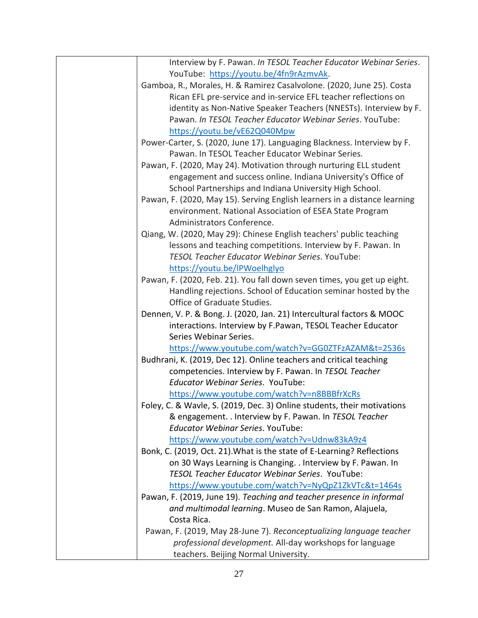| Interview by F. Pawan. In TESOL Teacher Educator Webinar Series.          |
|---------------------------------------------------------------------------|
| YouTube: https://youtu.be/4fn9rAzmvAk.                                    |
| Gamboa, R., Morales, H. & Ramirez Casalvolone. (2020, June 25). Costa     |
| Rican EFL pre-service and in-service EFL teacher reflections on           |
| identity as Non-Native Speaker Teachers (NNESTs). Interview by F.         |
| Pawan. In TESOL Teacher Educator Webinar Series. YouTube:                 |
| https://youtu.be/vE62Q040Mpw                                              |
| Power-Carter, S. (2020, June 17). Languaging Blackness. Interview by F.   |
| Pawan. In TESOL Teacher Educator Webinar Series.                          |
| Pawan, F. (2020, May 24). Motivation through nurturing ELL student        |
| engagement and success online. Indiana University's Office of             |
| School Partnerships and Indiana University High School.                   |
| Pawan, F. (2020, May 15). Serving English learners in a distance learning |
| environment. National Association of ESEA State Program                   |
| Administrators Conference.                                                |
| Qiang, W. (2020, May 29): Chinese English teachers' public teaching       |
| lessons and teaching competitions. Interview by F. Pawan. In              |
| <b>TESOL Teacher Educator Webinar Series, YouTube:</b>                    |
| https://youtu.be/IPWoelhglyo                                              |
| Pawan, F. (2020, Feb. 21). You fall down seven times, you get up eight.   |
| Handling rejections. School of Education seminar hosted by the            |
| Office of Graduate Studies.                                               |
| Dennen, V. P. & Bong. J. (2020, Jan. 21) Intercultural factors & MOOC     |
| interactions. Interview by F.Pawan, TESOL Teacher Educator                |
| Series Webinar Series.                                                    |
| https://www.youtube.com/watch?v=GG0ZTFzAZAM&t=2536s                       |
| Budhrani, K. (2019, Dec 12). Online teachers and critical teaching        |
| competencies. Interview by F. Pawan. In TESOL Teacher                     |
| <b>Educator Webinar Series. YouTube:</b>                                  |
| https://www.youtube.com/watch?v=n8BBBfrXcRs                               |
| Foley, C. & Wavle, S. (2019, Dec. 3) Online students, their motivations   |
| & engagement. . Interview by F. Pawan. In TESOL Teacher                   |
| <b>Educator Webinar Series. YouTube:</b>                                  |
| https://www.youtube.com/watch?v=Udnw83kA9z4                               |
| Bonk, C. (2019, Oct. 21). What is the state of E-Learning? Reflections    |
| on 30 Ways Learning is Changing. . Interview by F. Pawan. In              |
| <b>TESOL Teacher Educator Webinar Series. YouTube:</b>                    |
| https://www.youtube.com/watch?v=NyQpZ1ZkVTc&t=1464s                       |
| Pawan, F. (2019, June 19). Teaching and teacher presence in informal      |
| and multimodal learning. Museo de San Ramon, Alajuela,                    |
| Costa Rica.                                                               |
|                                                                           |
| Pawan, F. (2019, May 28-June 7). Reconceptualizing language teacher       |
| professional development. All-day workshops for language                  |
| teachers. Beijing Normal University.                                      |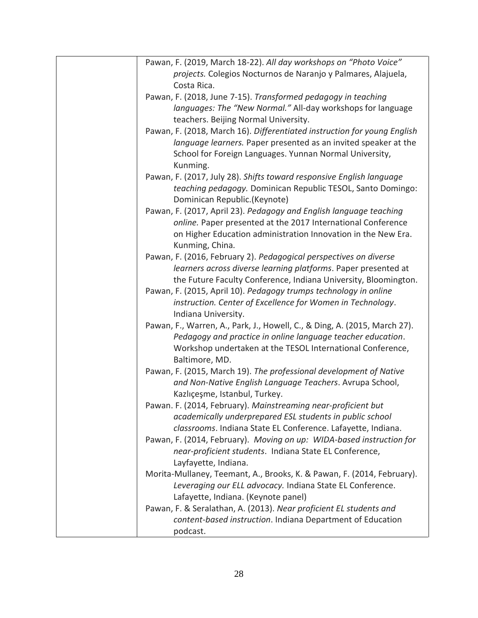| Pawan, F. (2019, March 18-22). All day workshops on "Photo Voice"         |
|---------------------------------------------------------------------------|
| projects. Colegios Nocturnos de Naranjo y Palmares, Alajuela,             |
| Costa Rica.                                                               |
| Pawan, F. (2018, June 7-15). Transformed pedagogy in teaching             |
| languages: The "New Normal." All-day workshops for language               |
| teachers. Beijing Normal University.                                      |
| Pawan, F. (2018, March 16). Differentiated instruction for young English  |
| language learners. Paper presented as an invited speaker at the           |
| School for Foreign Languages. Yunnan Normal University,                   |
| Kunming.                                                                  |
| Pawan, F. (2017, July 28). Shifts toward responsive English language      |
| teaching pedagogy. Dominican Republic TESOL, Santo Domingo:               |
| Dominican Republic.(Keynote)                                              |
| Pawan, F. (2017, April 23). Pedagogy and English language teaching        |
| online. Paper presented at the 2017 International Conference              |
| on Higher Education administration Innovation in the New Era.             |
| Kunming, China.                                                           |
| Pawan, F. (2016, February 2). Pedagogical perspectives on diverse         |
| learners across diverse learning platforms. Paper presented at            |
| the Future Faculty Conference, Indiana University, Bloomington.           |
| Pawan, F. (2015, April 10). Pedagogy trumps technology in online          |
| instruction. Center of Excellence for Women in Technology.                |
| Indiana University.                                                       |
|                                                                           |
| Pawan, F., Warren, A., Park, J., Howell, C., & Ding, A. (2015, March 27). |
| Pedagogy and practice in online language teacher education.               |
| Workshop undertaken at the TESOL International Conference,                |
| Baltimore, MD.                                                            |
| Pawan, F. (2015, March 19). The professional development of Native        |
| and Non-Native English Language Teachers. Avrupa School,                  |
| Kazlıçeşme, Istanbul, Turkey.                                             |
| Pawan. F. (2014, February). Mainstreaming near-proficient but             |
| academically underprepared ESL students in public school                  |
| classrooms. Indiana State EL Conference. Lafayette, Indiana.              |
| Pawan, F. (2014, February). Moving on up: WIDA-based instruction for      |
| near-proficient students. Indiana State EL Conference,                    |
| Layfayette, Indiana.                                                      |
| Morita-Mullaney, Teemant, A., Brooks, K. & Pawan, F. (2014, February).    |
| Leveraging our ELL advocacy. Indiana State EL Conference.                 |
| Lafayette, Indiana. (Keynote panel)                                       |
| Pawan, F. & Seralathan, A. (2013). Near proficient EL students and        |
| content-based instruction. Indiana Department of Education                |
| podcast.                                                                  |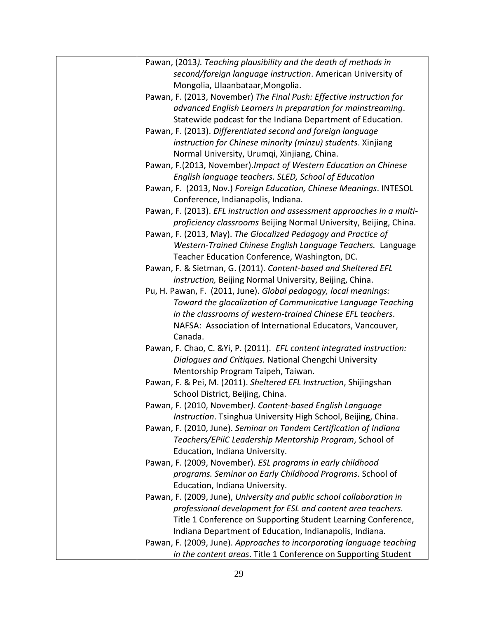| Pawan, (2013). Teaching plausibility and the death of methods in        |
|-------------------------------------------------------------------------|
| second/foreign language instruction. American University of             |
| Mongolia, Ulaanbataar, Mongolia.                                        |
| Pawan, F. (2013, November) The Final Push: Effective instruction for    |
| advanced English Learners in preparation for mainstreaming.             |
| Statewide podcast for the Indiana Department of Education.              |
| Pawan, F. (2013). Differentiated second and foreign language            |
| instruction for Chinese minority (minzu) students. Xinjiang             |
| Normal University, Urumqi, Xinjiang, China.                             |
| Pawan, F.(2013, November). Impact of Western Education on Chinese       |
| English language teachers. SLED, School of Education                    |
| Pawan, F. (2013, Nov.) Foreign Education, Chinese Meanings. INTESOL     |
| Conference, Indianapolis, Indiana.                                      |
| Pawan, F. (2013). EFL instruction and assessment approaches in a multi- |
| proficiency classrooms Beijing Normal University, Beijing, China.       |
| Pawan, F. (2013, May). The Glocalized Pedagogy and Practice of          |
| Western-Trained Chinese English Language Teachers. Language             |
| Teacher Education Conference, Washington, DC.                           |
| Pawan, F. & Sietman, G. (2011). Content-based and Sheltered EFL         |
| instruction, Beijing Normal University, Beijing, China.                 |
| Pu, H. Pawan, F. (2011, June). Global pedagogy, local meanings:         |
| Toward the glocalization of Communicative Language Teaching             |
| in the classrooms of western-trained Chinese EFL teachers.              |
| NAFSA: Association of International Educators, Vancouver,               |
| Canada.                                                                 |
| Pawan, F. Chao, C. & Yi, P. (2011). EFL content integrated instruction: |
| Dialogues and Critiques. National Chengchi University                   |
| Mentorship Program Taipeh, Taiwan.                                      |
| Pawan, F. & Pei, M. (2011). Sheltered EFL Instruction, Shijingshan      |
| School District, Beijing, China.                                        |
| Pawan, F. (2010, November). Content-based English Language              |
| Instruction. Tsinghua University High School, Beijing, China.           |
| Pawan, F. (2010, June). Seminar on Tandem Certification of Indiana      |
| Teachers/EPiiC Leadership Mentorship Program, School of                 |
| Education, Indiana University.                                          |
| Pawan, F. (2009, November). ESL programs in early childhood             |
| programs. Seminar on Early Childhood Programs. School of                |
| Education, Indiana University.                                          |
| Pawan, F. (2009, June), University and public school collaboration in   |
|                                                                         |
| professional development for ESL and content area teachers.             |
| Title 1 Conference on Supporting Student Learning Conference,           |
| Indiana Department of Education, Indianapolis, Indiana.                 |
| Pawan, F. (2009, June). Approaches to incorporating language teaching   |
| in the content areas. Title 1 Conference on Supporting Student          |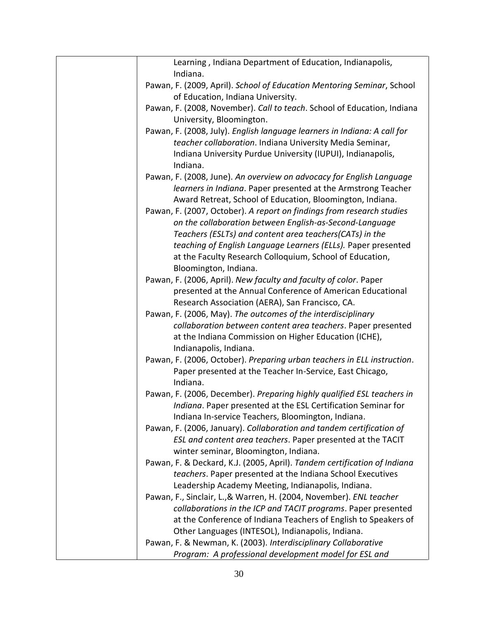| Learning, Indiana Department of Education, Indianapolis,                 |
|--------------------------------------------------------------------------|
| Indiana.                                                                 |
| Pawan, F. (2009, April). School of Education Mentoring Seminar, School   |
| of Education, Indiana University.                                        |
| Pawan, F. (2008, November). Call to teach. School of Education, Indiana  |
| University, Bloomington.                                                 |
| Pawan, F. (2008, July). English language learners in Indiana: A call for |
| teacher collaboration. Indiana University Media Seminar,                 |
| Indiana University Purdue University (IUPUI), Indianapolis,              |
| Indiana.                                                                 |
| Pawan, F. (2008, June). An overview on advocacy for English Language     |
| learners in Indiana. Paper presented at the Armstrong Teacher            |
| Award Retreat, School of Education, Bloomington, Indiana.                |
| Pawan, F. (2007, October). A report on findings from research studies    |
| on the collaboration between English-as-Second-Language                  |
| Teachers (ESLTs) and content area teachers(CATs) in the                  |
| teaching of English Language Learners (ELLs). Paper presented            |
| at the Faculty Research Colloquium, School of Education,                 |
| Bloomington, Indiana.                                                    |
| Pawan, F. (2006, April). New faculty and faculty of color. Paper         |
| presented at the Annual Conference of American Educational               |
| Research Association (AERA), San Francisco, CA.                          |
| Pawan, F. (2006, May). The outcomes of the interdisciplinary             |
| collaboration between content area teachers. Paper presented             |
| at the Indiana Commission on Higher Education (ICHE),                    |
| Indianapolis, Indiana.                                                   |
| Pawan, F. (2006, October). Preparing urban teachers in ELL instruction.  |
| Paper presented at the Teacher In-Service, East Chicago,                 |
| Indiana.                                                                 |
| Pawan, F. (2006, December). Preparing highly qualified ESL teachers in   |
| Indiana. Paper presented at the ESL Certification Seminar for            |
| Indiana In-service Teachers, Bloomington, Indiana.                       |
| Pawan, F. (2006, January). Collaboration and tandem certification of     |
| ESL and content area teachers. Paper presented at the TACIT              |
| winter seminar, Bloomington, Indiana.                                    |
| Pawan, F. & Deckard, K.J. (2005, April). Tandem certification of Indiana |
| teachers. Paper presented at the Indiana School Executives               |
| Leadership Academy Meeting, Indianapolis, Indiana.                       |
| Pawan, F., Sinclair, L., & Warren, H. (2004, November). ENL teacher      |
| collaborations in the ICP and TACIT programs. Paper presented            |
| at the Conference of Indiana Teachers of English to Speakers of          |
| Other Languages (INTESOL), Indianapolis, Indiana.                        |
| Pawan, F. & Newman, K. (2003). Interdisciplinary Collaborative           |
| Program: A professional development model for ESL and                    |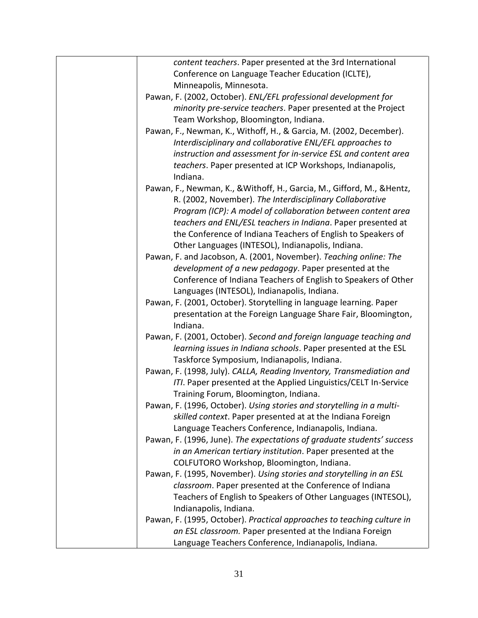| content teachers. Paper presented at the 3rd International              |
|-------------------------------------------------------------------------|
| Conference on Language Teacher Education (ICLTE),                       |
| Minneapolis, Minnesota.                                                 |
| Pawan, F. (2002, October). ENL/EFL professional development for         |
| minority pre-service teachers. Paper presented at the Project           |
| Team Workshop, Bloomington, Indiana.                                    |
| Pawan, F., Newman, K., Withoff, H., & Garcia, M. (2002, December).      |
| Interdisciplinary and collaborative ENL/EFL approaches to               |
| instruction and assessment for in-service ESL and content area          |
| teachers. Paper presented at ICP Workshops, Indianapolis,               |
| Indiana.                                                                |
|                                                                         |
| Pawan, F., Newman, K., & Withoff, H., Garcia, M., Gifford, M., & Hentz, |
| R. (2002, November). The Interdisciplinary Collaborative                |
| Program (ICP): A model of collaboration between content area            |
| teachers and ENL/ESL teachers in Indiana. Paper presented at            |
| the Conference of Indiana Teachers of English to Speakers of            |
| Other Languages (INTESOL), Indianapolis, Indiana.                       |
| Pawan, F. and Jacobson, A. (2001, November). Teaching online: The       |
| development of a new pedagogy. Paper presented at the                   |
| Conference of Indiana Teachers of English to Speakers of Other          |
| Languages (INTESOL), Indianapolis, Indiana.                             |
| Pawan, F. (2001, October). Storytelling in language learning. Paper     |
| presentation at the Foreign Language Share Fair, Bloomington,           |
| Indiana.                                                                |
| Pawan, F. (2001, October). Second and foreign language teaching and     |
| learning issues in Indiana schools. Paper presented at the ESL          |
| Taskforce Symposium, Indianapolis, Indiana.                             |
| Pawan, F. (1998, July). CALLA, Reading Inventory, Transmediation and    |
| ITI. Paper presented at the Applied Linguistics/CELT In-Service         |
| Training Forum, Bloomington, Indiana.                                   |
| Pawan, F. (1996, October). Using stories and storytelling in a multi-   |
| skilled context. Paper presented at at the Indiana Foreign              |
| Language Teachers Conference, Indianapolis, Indiana.                    |
| Pawan, F. (1996, June). The expectations of graduate students' success  |
| in an American tertiary institution. Paper presented at the             |
| COLFUTORO Workshop, Bloomington, Indiana.                               |
| Pawan, F. (1995, November). Using stories and storytelling in an ESL    |
| classroom. Paper presented at the Conference of Indiana                 |
| Teachers of English to Speakers of Other Languages (INTESOL),           |
| Indianapolis, Indiana.                                                  |
| Pawan, F. (1995, October). Practical approaches to teaching culture in  |
| an ESL classroom. Paper presented at the Indiana Foreign                |
| Language Teachers Conference, Indianapolis, Indiana.                    |
|                                                                         |